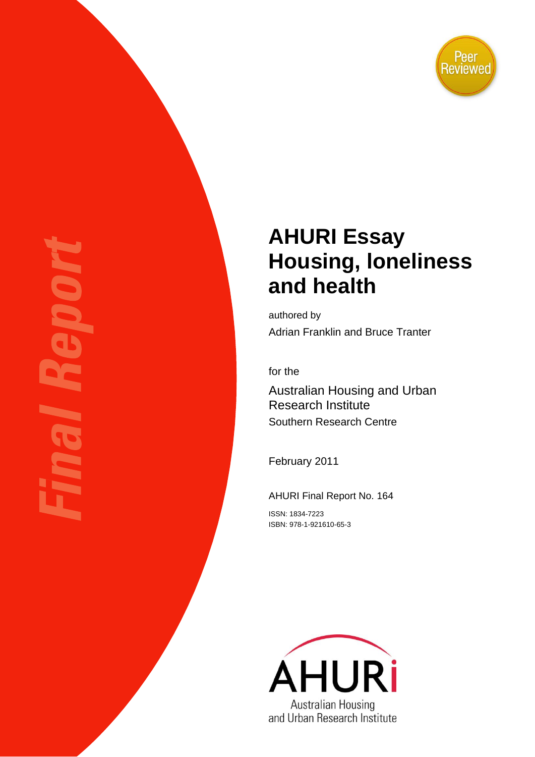

# **AHURI Essay Housing, loneliness and health**

authored by Adrian Franklin and Bruce Tranter

for the

Australian Housing and Urban Research Institute Southern Research Centre

February 2011

AHURI Final Report No. 164

ISSN: 1834-7223 ISBN: 978-1-921610-65-3

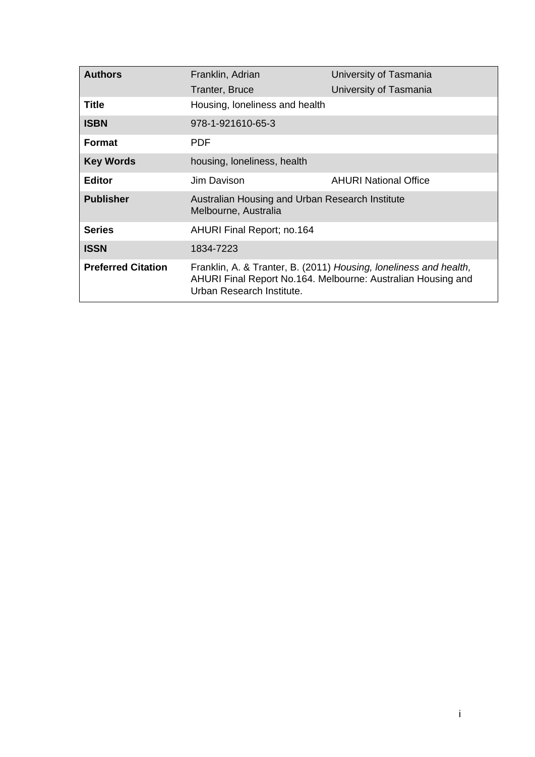| <b>Authors</b>            | Franklin, Adrian                                                        | University of Tasmania                                                                                                            |
|---------------------------|-------------------------------------------------------------------------|-----------------------------------------------------------------------------------------------------------------------------------|
|                           | Tranter, Bruce                                                          | University of Tasmania                                                                                                            |
| Title                     | Housing, loneliness and health                                          |                                                                                                                                   |
| <b>ISBN</b>               | 978-1-921610-65-3                                                       |                                                                                                                                   |
| <b>Format</b>             | <b>PDF</b>                                                              |                                                                                                                                   |
| <b>Key Words</b>          | housing, loneliness, health                                             |                                                                                                                                   |
| <b>Editor</b>             | Jim Davison                                                             | <b>AHURI National Office</b>                                                                                                      |
| <b>Publisher</b>          | Australian Housing and Urban Research Institute<br>Melbourne, Australia |                                                                                                                                   |
| <b>Series</b>             | <b>AHURI Final Report; no.164</b>                                       |                                                                                                                                   |
| <b>ISSN</b>               | 1834-7223                                                               |                                                                                                                                   |
| <b>Preferred Citation</b> | Urban Research Institute.                                               | Franklin, A. & Tranter, B. (2011) Housing, loneliness and health,<br>AHURI Final Report No.164. Melbourne: Australian Housing and |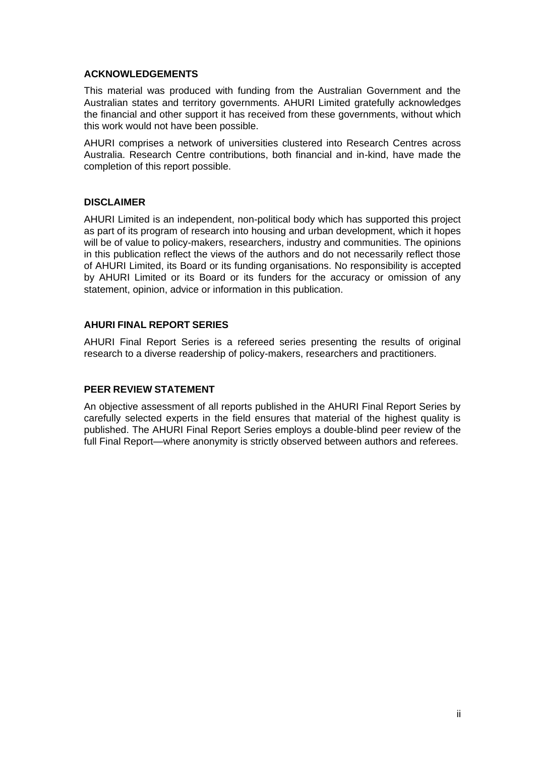#### **ACKNOWLEDGEMENTS**

This material was produced with funding from the Australian Government and the Australian states and territory governments. AHURI Limited gratefully acknowledges the financial and other support it has received from these governments, without which this work would not have been possible.

AHURI comprises a network of universities clustered into Research Centres across Australia. Research Centre contributions, both financial and in-kind, have made the completion of this report possible.

#### **DISCLAIMER**

AHURI Limited is an independent, non-political body which has supported this project as part of its program of research into housing and urban development, which it hopes will be of value to policy-makers, researchers, industry and communities. The opinions in this publication reflect the views of the authors and do not necessarily reflect those of AHURI Limited, its Board or its funding organisations. No responsibility is accepted by AHURI Limited or its Board or its funders for the accuracy or omission of any statement, opinion, advice or information in this publication.

#### **AHURI FINAL REPORT SERIES**

AHURI Final Report Series is a refereed series presenting the results of original research to a diverse readership of policy-makers, researchers and practitioners.

#### **PEER REVIEW STATEMENT**

An objective assessment of all reports published in the AHURI Final Report Series by carefully selected experts in the field ensures that material of the highest quality is published. The AHURI Final Report Series employs a double-blind peer review of the full Final Report—where anonymity is strictly observed between authors and referees.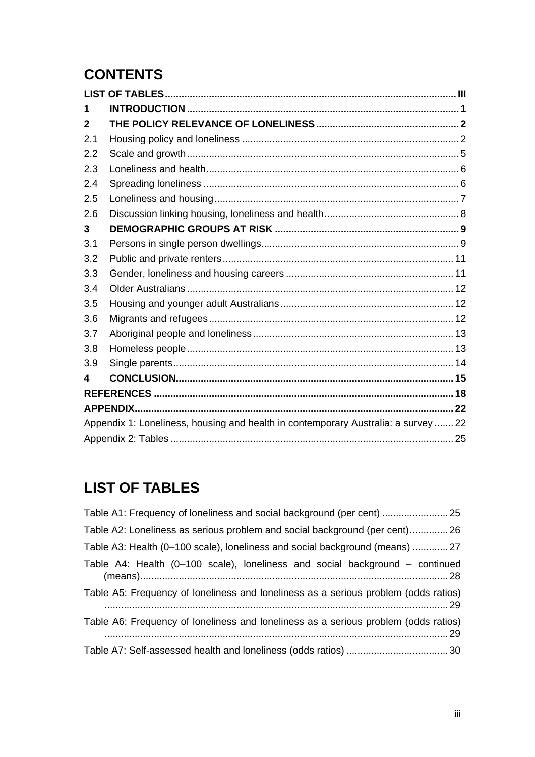# **CONTENTS**

| 1            |                                                                                    |  |
|--------------|------------------------------------------------------------------------------------|--|
| $\mathbf{2}$ |                                                                                    |  |
| 2.1          |                                                                                    |  |
| 2.2          |                                                                                    |  |
| 2.3          |                                                                                    |  |
| 2.4          |                                                                                    |  |
| 2.5          |                                                                                    |  |
| 2.6          |                                                                                    |  |
| 3            |                                                                                    |  |
| 3.1          |                                                                                    |  |
| 3.2          |                                                                                    |  |
| 3.3          |                                                                                    |  |
| 3.4          |                                                                                    |  |
| 3.5          |                                                                                    |  |
| 3.6          |                                                                                    |  |
| 3.7          |                                                                                    |  |
| 3.8          |                                                                                    |  |
| 3.9          |                                                                                    |  |
| 4            |                                                                                    |  |
|              |                                                                                    |  |
|              |                                                                                    |  |
|              | Appendix 1: Loneliness, housing and health in contemporary Australia: a survey  22 |  |
|              |                                                                                    |  |

# <span id="page-3-0"></span>**LIST OF TABLES**

| Table A1: Frequency of loneliness and social background (per cent)                  |
|-------------------------------------------------------------------------------------|
| Table A2: Loneliness as serious problem and social background (per cent) 26         |
| Table A3: Health (0-100 scale), loneliness and social background (means)  27        |
| Table A4: Health (0-100 scale), loneliness and social background - continued        |
| Table A5: Frequency of loneliness and loneliness as a serious problem (odds ratios) |
| Table A6: Frequency of loneliness and loneliness as a serious problem (odds ratios) |
|                                                                                     |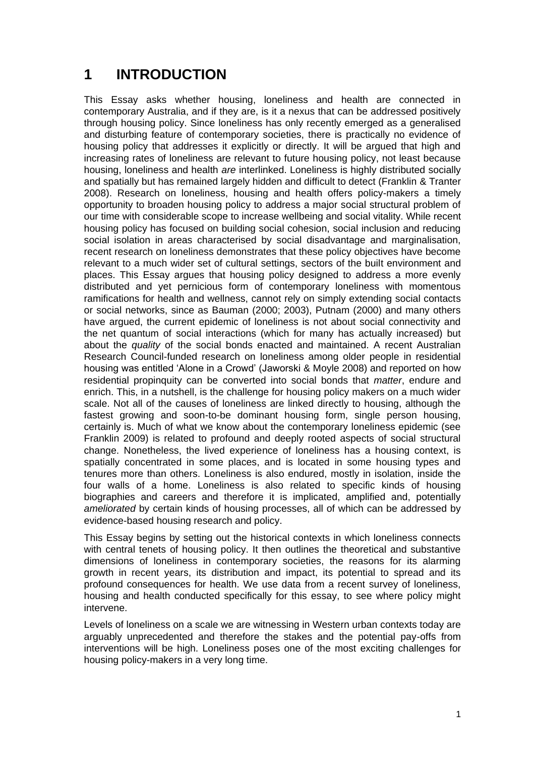# <span id="page-4-0"></span>**1 INTRODUCTION**

This Essay asks whether housing, loneliness and health are connected in contemporary Australia, and if they are, is it a nexus that can be addressed positively through housing policy. Since loneliness has only recently emerged as a generalised and disturbing feature of contemporary societies, there is practically no evidence of housing policy that addresses it explicitly or directly. It will be argued that high and increasing rates of loneliness are relevant to future housing policy, not least because housing, loneliness and health *are* interlinked. Loneliness is highly distributed socially and spatially but has remained largely hidden and difficult to detect (Franklin & Tranter 2008). Research on loneliness, housing and health offers policy-makers a timely opportunity to broaden housing policy to address a major social structural problem of our time with considerable scope to increase wellbeing and social vitality. While recent housing policy has focused on building social cohesion, social inclusion and reducing social isolation in areas characterised by social disadvantage and marginalisation, recent research on loneliness demonstrates that these policy objectives have become relevant to a much wider set of cultural settings, sectors of the built environment and places. This Essay argues that housing policy designed to address a more evenly distributed and yet pernicious form of contemporary loneliness with momentous ramifications for health and wellness, cannot rely on simply extending social contacts or social networks, since as Bauman (2000; 2003), Putnam (2000) and many others have argued, the current epidemic of loneliness is not about social connectivity and the net quantum of social interactions (which for many has actually increased) but about the *quality* of the social bonds enacted and maintained. A recent Australian Research Council-funded research on loneliness among older people in residential housing was entitled 'Alone in a Crowd' (Jaworski & Moyle 2008) and reported on how residential propinquity can be converted into social bonds that *matter*, endure and enrich. This, in a nutshell, is the challenge for housing policy makers on a much wider scale. Not all of the causes of loneliness are linked directly to housing, although the fastest growing and soon-to-be dominant housing form, single person housing, certainly is. Much of what we know about the contemporary loneliness epidemic (see Franklin 2009) is related to profound and deeply rooted aspects of social structural change. Nonetheless, the lived experience of loneliness has a housing context, is spatially concentrated in some places, and is located in some housing types and tenures more than others. Loneliness is also endured, mostly in isolation, inside the four walls of a home. Loneliness is also related to specific kinds of housing biographies and careers and therefore it is implicated, amplified and, potentially *ameliorated* by certain kinds of housing processes, all of which can be addressed by evidence-based housing research and policy.

This Essay begins by setting out the historical contexts in which loneliness connects with central tenets of housing policy. It then outlines the theoretical and substantive dimensions of loneliness in contemporary societies, the reasons for its alarming growth in recent years, its distribution and impact, its potential to spread and its profound consequences for health. We use data from a recent survey of loneliness, housing and health conducted specifically for this essay, to see where policy might intervene.

Levels of loneliness on a scale we are witnessing in Western urban contexts today are arguably unprecedented and therefore the stakes and the potential pay-offs from interventions will be high. Loneliness poses one of the most exciting challenges for housing policy-makers in a very long time.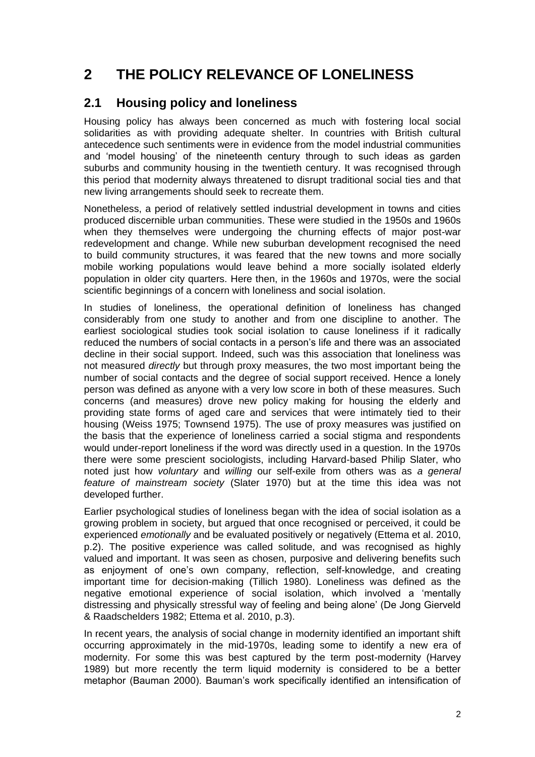# <span id="page-5-0"></span>**2 THE POLICY RELEVANCE OF LONELINESS**

### <span id="page-5-1"></span>**2.1 Housing policy and loneliness**

Housing policy has always been concerned as much with fostering local social solidarities as with providing adequate shelter. In countries with British cultural antecedence such sentiments were in evidence from the model industrial communities and 'model housing' of the nineteenth century through to such ideas as garden suburbs and community housing in the twentieth century. It was recognised through this period that modernity always threatened to disrupt traditional social ties and that new living arrangements should seek to recreate them.

Nonetheless, a period of relatively settled industrial development in towns and cities produced discernible urban communities. These were studied in the 1950s and 1960s when they themselves were undergoing the churning effects of major post-war redevelopment and change. While new suburban development recognised the need to build community structures, it was feared that the new towns and more socially mobile working populations would leave behind a more socially isolated elderly population in older city quarters. Here then, in the 1960s and 1970s, were the social scientific beginnings of a concern with loneliness and social isolation.

In studies of loneliness, the operational definition of loneliness has changed considerably from one study to another and from one discipline to another. The earliest sociological studies took social isolation to cause loneliness if it radically reduced the numbers of social contacts in a person's life and there was an associated decline in their social support. Indeed, such was this association that loneliness was not measured *directly* but through proxy measures, the two most important being the number of social contacts and the degree of social support received. Hence a lonely person was defined as anyone with a very low score in both of these measures. Such concerns (and measures) drove new policy making for housing the elderly and providing state forms of aged care and services that were intimately tied to their housing (Weiss 1975; Townsend 1975). The use of proxy measures was justified on the basis that the experience of loneliness carried a social stigma and respondents would under-report loneliness if the word was directly used in a question. In the 1970s there were some prescient sociologists, including Harvard-based Philip Slater, who noted just how *voluntary* and *willing* our self-exile from others was as *a general feature of mainstream society* (Slater 1970) but at the time this idea was not developed further.

Earlier psychological studies of loneliness began with the idea of social isolation as a growing problem in society, but argued that once recognised or perceived, it could be experienced *emotionally* and be evaluated positively or negatively (Ettema et al. 2010, p.2). The positive experience was called solitude, and was recognised as highly valued and important. It was seen as chosen, purposive and delivering benefits such as enjoyment of one's own company, reflection, self-knowledge, and creating important time for decision-making (Tillich 1980). Loneliness was defined as the negative emotional experience of social isolation, which involved a 'mentally distressing and physically stressful way of feeling and being alone' (De Jong Gierveld & Raadschelders 1982; Ettema et al. 2010, p.3).

In recent years, the analysis of social change in modernity identified an important shift occurring approximately in the mid-1970s, leading some to identify a new era of modernity. For some this was best captured by the term post-modernity (Harvey 1989) but more recently the term liquid modernity is considered to be a better metaphor (Bauman 2000). Bauman's work specifically identified an intensification of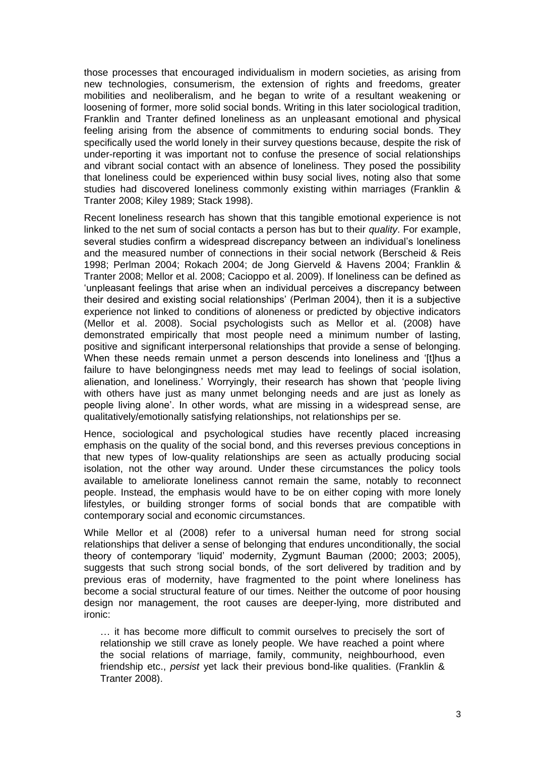those processes that encouraged individualism in modern societies, as arising from new technologies, consumerism, the extension of rights and freedoms, greater mobilities and neoliberalism, and he began to write of a resultant weakening or loosening of former, more solid social bonds. Writing in this later sociological tradition, Franklin and Tranter defined loneliness as an unpleasant emotional and physical feeling arising from the absence of commitments to enduring social bonds. They specifically used the world lonely in their survey questions because, despite the risk of under-reporting it was important not to confuse the presence of social relationships and vibrant social contact with an absence of loneliness. They posed the possibility that loneliness could be experienced within busy social lives, noting also that some studies had discovered loneliness commonly existing within marriages (Franklin & Tranter 2008; Kiley 1989; Stack 1998).

Recent loneliness research has shown that this tangible emotional experience is not linked to the net sum of social contacts a person has but to their *quality*. For example, several studies confirm a widespread discrepancy between an individual's loneliness and the measured number of connections in their social network (Berscheid & Reis 1998; Perlman 2004; Rokach 2004; de Jong Gierveld & Havens 2004; Franklin & Tranter 2008; Mellor et al. 2008; Cacioppo et al. 2009). If loneliness can be defined as ‗unpleasant feelings that arise when an individual perceives a discrepancy between their desired and existing social relationships' (Perlman 2004), then it is a subjective experience not linked to conditions of aloneness or predicted by objective indicators (Mellor et al. 2008). Social psychologists such as Mellor et al. (2008) have demonstrated empirically that most people need a minimum number of lasting, positive and significant interpersonal relationships that provide a sense of belonging. When these needs remain unmet a person descends into loneliness and '[t]hus a failure to have belongingness needs met may lead to feelings of social isolation, alienation, and loneliness.' Worryingly, their research has shown that 'people living with others have just as many unmet belonging needs and are just as lonely as people living alone'. In other words, what are missing in a widespread sense, are qualitatively/emotionally satisfying relationships, not relationships per se.

Hence, sociological and psychological studies have recently placed increasing emphasis on the quality of the social bond, and this reverses previous conceptions in that new types of low-quality relationships are seen as actually producing social isolation, not the other way around. Under these circumstances the policy tools available to ameliorate loneliness cannot remain the same, notably to reconnect people. Instead, the emphasis would have to be on either coping with more lonely lifestyles, or building stronger forms of social bonds that are compatible with contemporary social and economic circumstances.

While Mellor et al (2008) refer to a universal human need for strong social relationships that deliver a sense of belonging that endures unconditionally, the social theory of contemporary 'liquid' modernity, Zygmunt Bauman (2000; 2003; 2005), suggests that such strong social bonds, of the sort delivered by tradition and by previous eras of modernity, have fragmented to the point where loneliness has become a social structural feature of our times. Neither the outcome of poor housing design nor management, the root causes are deeper-lying, more distributed and ironic:

… it has become more difficult to commit ourselves to precisely the sort of relationship we still crave as lonely people. We have reached a point where the social relations of marriage, family, community, neighbourhood, even friendship etc., *persist* yet lack their previous bond-like qualities. (Franklin & Tranter 2008).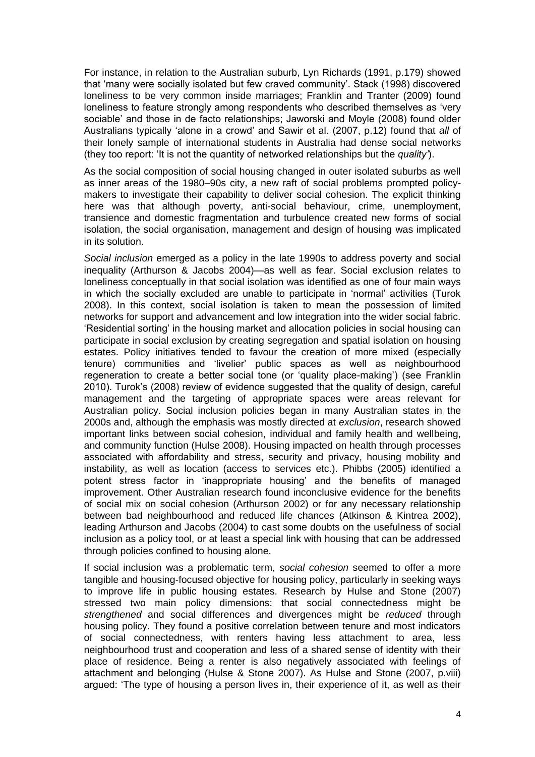For instance, in relation to the Australian suburb, Lyn Richards (1991, p.179) showed that 'many were socially isolated but few craved community'. Stack (1998) discovered loneliness to be very common inside marriages; Franklin and Tranter (2009) found loneliness to feature strongly among respondents who described themselves as 'very sociable' and those in de facto relationships; Jaworski and Moyle (2008) found older Australians typically 'alone in a crowd' and Sawir et al. (2007, p.12) found that *all* of their lonely sample of international students in Australia had dense social networks (they too report: 'It is not the quantity of networked relationships but the *quality'*).

As the social composition of social housing changed in outer isolated suburbs as well as inner areas of the 1980–90s city, a new raft of social problems prompted policymakers to investigate their capability to deliver social cohesion. The explicit thinking here was that although poverty, anti-social behaviour, crime, unemployment, transience and domestic fragmentation and turbulence created new forms of social isolation, the social organisation, management and design of housing was implicated in its solution.

*Social inclusion* emerged as a policy in the late 1990s to address poverty and social inequality (Arthurson & Jacobs 2004)—as well as fear. Social exclusion relates to loneliness conceptually in that social isolation was identified as one of four main ways in which the socially excluded are unable to participate in 'normal' activities (Turok 2008). In this context, social isolation is taken to mean the possession of limited networks for support and advancement and low integration into the wider social fabric. ‗Residential sorting' in the housing market and allocation policies in social housing can participate in social exclusion by creating segregation and spatial isolation on housing estates. Policy initiatives tended to favour the creation of more mixed (especially tenure) communities and 'livelier' public spaces as well as neighbourhood regeneration to create a better social tone (or 'quality place-making') (see Franklin 2010). Turok's (2008) review of evidence suggested that the quality of design, careful management and the targeting of appropriate spaces were areas relevant for Australian policy. Social inclusion policies began in many Australian states in the 2000s and, although the emphasis was mostly directed at *exclusion*, research showed important links between social cohesion, individual and family health and wellbeing, and community function (Hulse 2008). Housing impacted on health through processes associated with affordability and stress, security and privacy, housing mobility and instability, as well as location (access to services etc.). Phibbs (2005) identified a potent stress factor in 'inappropriate housing' and the benefits of managed improvement. Other Australian research found inconclusive evidence for the benefits of social mix on social cohesion (Arthurson 2002) or for any necessary relationship between bad neighbourhood and reduced life chances (Atkinson & Kintrea 2002), leading Arthurson and Jacobs (2004) to cast some doubts on the usefulness of social inclusion as a policy tool, or at least a special link with housing that can be addressed through policies confined to housing alone.

If social inclusion was a problematic term, *social cohesion* seemed to offer a more tangible and housing-focused objective for housing policy, particularly in seeking ways to improve life in public housing estates. Research by Hulse and Stone (2007) stressed two main policy dimensions: that social connectedness might be *strengthened* and social differences and divergences might be *reduced* through housing policy. They found a positive correlation between tenure and most indicators of social connectedness, with renters having less attachment to area, less neighbourhood trust and cooperation and less of a shared sense of identity with their place of residence. Being a renter is also negatively associated with feelings of attachment and belonging (Hulse & Stone 2007). As Hulse and Stone (2007, p.viii) argued: ‗The type of housing a person lives in, their experience of it, as well as their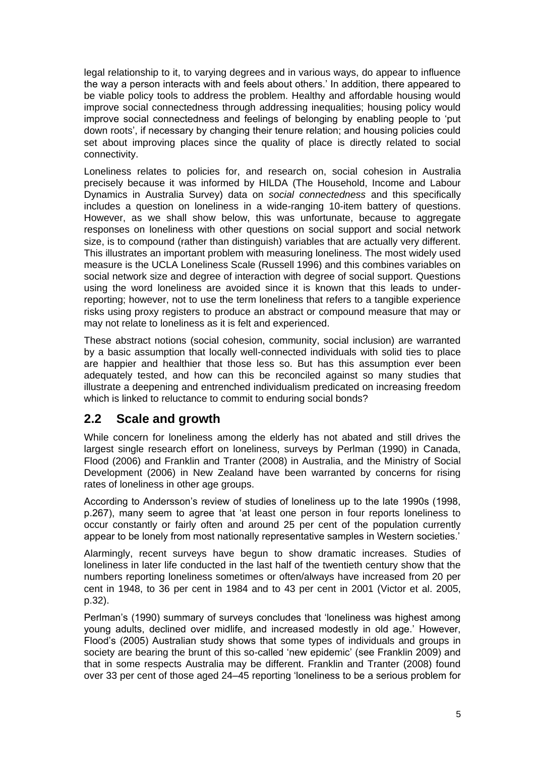legal relationship to it, to varying degrees and in various ways, do appear to influence the way a person interacts with and feels about others.' In addition, there appeared to be viable policy tools to address the problem. Healthy and affordable housing would improve social connectedness through addressing inequalities; housing policy would improve social connectedness and feelings of belonging by enabling people to 'put down roots', if necessary by changing their tenure relation; and housing policies could set about improving places since the quality of place is directly related to social connectivity.

Loneliness relates to policies for, and research on, social cohesion in Australia precisely because it was informed by HILDA (The Household, Income and Labour Dynamics in Australia Survey) data on *social connectedness* and this specifically includes a question on loneliness in a wide-ranging 10-item battery of questions. However, as we shall show below, this was unfortunate, because to aggregate responses on loneliness with other questions on social support and social network size, is to compound (rather than distinguish) variables that are actually very different. This illustrates an important problem with measuring loneliness. The most widely used measure is the UCLA Loneliness Scale (Russell 1996) and this combines variables on social network size and degree of interaction with degree of social support. Questions using the word loneliness are avoided since it is known that this leads to underreporting; however, not to use the term loneliness that refers to a tangible experience risks using proxy registers to produce an abstract or compound measure that may or may not relate to loneliness as it is felt and experienced.

These abstract notions (social cohesion, community, social inclusion) are warranted by a basic assumption that locally well-connected individuals with solid ties to place are happier and healthier that those less so. But has this assumption ever been adequately tested, and how can this be reconciled against so many studies that illustrate a deepening and entrenched individualism predicated on increasing freedom which is linked to reluctance to commit to enduring social bonds?

#### <span id="page-8-0"></span>**2.2 Scale and growth**

While concern for loneliness among the elderly has not abated and still drives the largest single research effort on loneliness, surveys by Perlman (1990) in Canada, Flood (2006) and Franklin and Tranter (2008) in Australia, and the Ministry of Social Development (2006) in New Zealand have been warranted by concerns for rising rates of loneliness in other age groups.

According to Andersson's review of studies of loneliness up to the late 1990s (1998, p.267), many seem to agree that 'at least one person in four reports loneliness to occur constantly or fairly often and around 25 per cent of the population currently appear to be lonely from most nationally representative samples in Western societies.'

Alarmingly, recent surveys have begun to show dramatic increases. Studies of loneliness in later life conducted in the last half of the twentieth century show that the numbers reporting loneliness sometimes or often/always have increased from 20 per cent in 1948, to 36 per cent in 1984 and to 43 per cent in 2001 (Victor et al. 2005, p.32).

Perlman's (1990) summary of surveys concludes that 'loneliness was highest among young adults, declined over midlife, and increased modestly in old age.' However, Flood's (2005) Australian study shows that some types of individuals and groups in society are bearing the brunt of this so-called 'new epidemic' (see Franklin 2009) and that in some respects Australia may be different. Franklin and Tranter (2008) found over 33 per cent of those aged 24–45 reporting 'loneliness to be a serious problem for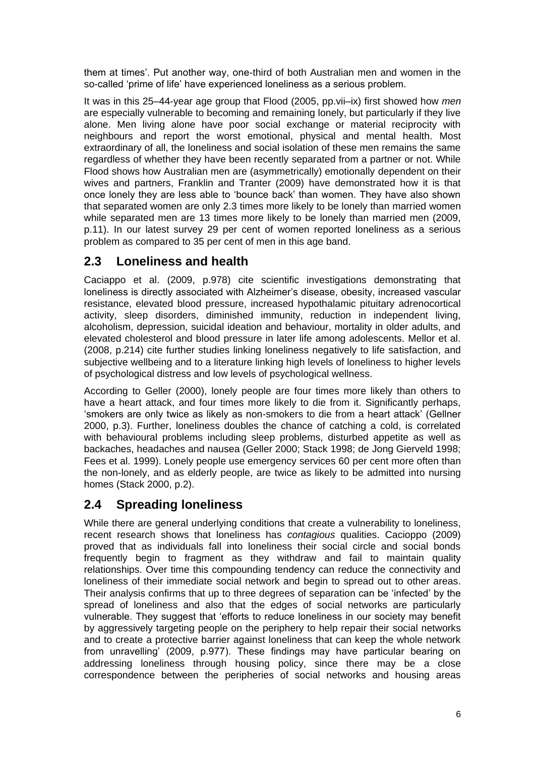them at times'. Put another way, one-third of both Australian men and women in the so-called 'prime of life' have experienced loneliness as a serious problem.

It was in this 25–44-year age group that Flood (2005, pp.vii–ix) first showed how *men* are especially vulnerable to becoming and remaining lonely, but particularly if they live alone. Men living alone have poor social exchange or material reciprocity with neighbours and report the worst emotional, physical and mental health. Most extraordinary of all, the loneliness and social isolation of these men remains the same regardless of whether they have been recently separated from a partner or not. While Flood shows how Australian men are (asymmetrically) emotionally dependent on their wives and partners, Franklin and Tranter (2009) have demonstrated how it is that once lonely they are less able to 'bounce back' than women. They have also shown that separated women are only 2.3 times more likely to be lonely than married women while separated men are 13 times more likely to be lonely than married men (2009, p.11). In our latest survey 29 per cent of women reported loneliness as a serious problem as compared to 35 per cent of men in this age band.

#### <span id="page-9-0"></span>**2.3 Loneliness and health**

Caciappo et al. (2009, p.978) cite scientific investigations demonstrating that loneliness is directly associated with Alzheimer's disease, obesity, increased vascular resistance, elevated blood pressure, increased hypothalamic pituitary adrenocortical activity, sleep disorders, diminished immunity, reduction in independent living, alcoholism, depression, suicidal ideation and behaviour, mortality in older adults, and elevated cholesterol and blood pressure in later life among adolescents. Mellor et al. (2008, p.214) cite further studies linking loneliness negatively to life satisfaction, and subjective wellbeing and to a literature linking high levels of loneliness to higher levels of psychological distress and low levels of psychological wellness.

According to Geller (2000), lonely people are four times more likely than others to have a heart attack, and four times more likely to die from it. Significantly perhaps, ‗smokers are only twice as likely as non-smokers to die from a heart attack' (Gellner 2000, p.3). Further, loneliness doubles the chance of catching a cold, is correlated with behavioural problems including sleep problems, disturbed appetite as well as backaches, headaches and nausea (Geller 2000; Stack 1998; de Jong Gierveld 1998; Fees et al. 1999). Lonely people use emergency services 60 per cent more often than the non-lonely, and as elderly people, are twice as likely to be admitted into nursing homes (Stack 2000, p.2).

### <span id="page-9-1"></span>**2.4 Spreading loneliness**

While there are general underlying conditions that create a vulnerability to loneliness, recent research shows that loneliness has *contagious* qualities. Cacioppo (2009) proved that as individuals fall into loneliness their social circle and social bonds frequently begin to fragment as they withdraw and fail to maintain quality relationships. Over time this compounding tendency can reduce the connectivity and loneliness of their immediate social network and begin to spread out to other areas. Their analysis confirms that up to three degrees of separation can be 'infected' by the spread of loneliness and also that the edges of social networks are particularly vulnerable. They suggest that 'efforts to reduce loneliness in our society may benefit by aggressively targeting people on the periphery to help repair their social networks and to create a protective barrier against loneliness that can keep the whole network from unravelling' (2009, p.977). These findings may have particular bearing on addressing loneliness through housing policy, since there may be a close correspondence between the peripheries of social networks and housing areas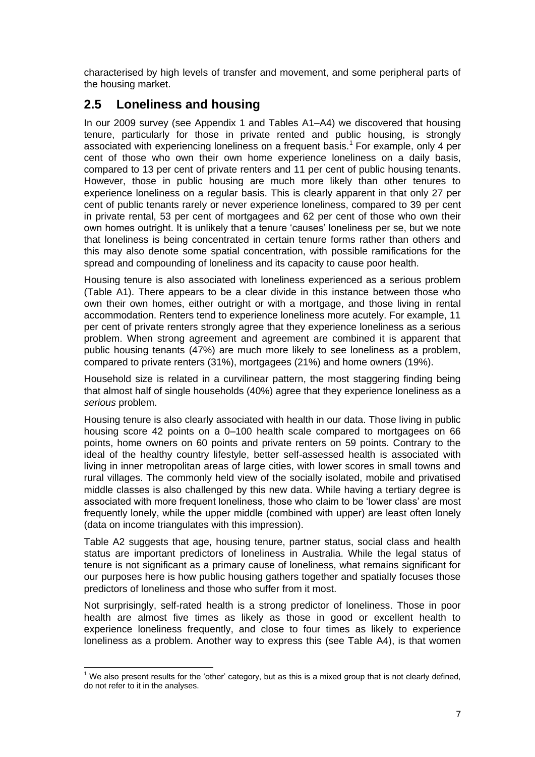characterised by high levels of transfer and movement, and some peripheral parts of the housing market.

# <span id="page-10-0"></span>**2.5 Loneliness and housing**

In our 2009 survey (see Appendix 1 and Tables A1–A4) we discovered that housing tenure, particularly for those in private rented and public housing, is strongly associated with experiencing loneliness on a frequent basis.<sup>1</sup> For example, only 4 per cent of those who own their own home experience loneliness on a daily basis, compared to 13 per cent of private renters and 11 per cent of public housing tenants. However, those in public housing are much more likely than other tenures to experience loneliness on a regular basis. This is clearly apparent in that only 27 per cent of public tenants rarely or never experience loneliness, compared to 39 per cent in private rental, 53 per cent of mortgagees and 62 per cent of those who own their own homes outright. It is unlikely that a tenure 'causes' loneliness per se, but we note that loneliness is being concentrated in certain tenure forms rather than others and this may also denote some spatial concentration, with possible ramifications for the spread and compounding of loneliness and its capacity to cause poor health.

Housing tenure is also associated with loneliness experienced as a serious problem (Table A1). There appears to be a clear divide in this instance between those who own their own homes, either outright or with a mortgage, and those living in rental accommodation. Renters tend to experience loneliness more acutely. For example, 11 per cent of private renters strongly agree that they experience loneliness as a serious problem. When strong agreement and agreement are combined it is apparent that public housing tenants (47%) are much more likely to see loneliness as a problem, compared to private renters (31%), mortgagees (21%) and home owners (19%).

Household size is related in a curvilinear pattern, the most staggering finding being that almost half of single households (40%) agree that they experience loneliness as a *serious* problem.

Housing tenure is also clearly associated with health in our data. Those living in public housing score 42 points on a 0–100 health scale compared to mortgagees on 66 points, home owners on 60 points and private renters on 59 points. Contrary to the ideal of the healthy country lifestyle, better self-assessed health is associated with living in inner metropolitan areas of large cities, with lower scores in small towns and rural villages. The commonly held view of the socially isolated, mobile and privatised middle classes is also challenged by this new data. While having a tertiary degree is associated with more frequent loneliness, those who claim to be 'lower class' are most frequently lonely, while the upper middle (combined with upper) are least often lonely (data on income triangulates with this impression).

Table A2 suggests that age, housing tenure, partner status, social class and health status are important predictors of loneliness in Australia. While the legal status of tenure is not significant as a primary cause of loneliness, what remains significant for our purposes here is how public housing gathers together and spatially focuses those predictors of loneliness and those who suffer from it most.

Not surprisingly, self-rated health is a strong predictor of loneliness. Those in poor health are almost five times as likely as those in good or excellent health to experience loneliness frequently, and close to four times as likely to experience loneliness as a problem. Another way to express this (see Table A4), is that women

  $<sup>1</sup>$  We also present results for the 'other' category, but as this is a mixed group that is not clearly defined,</sup> do not refer to it in the analyses.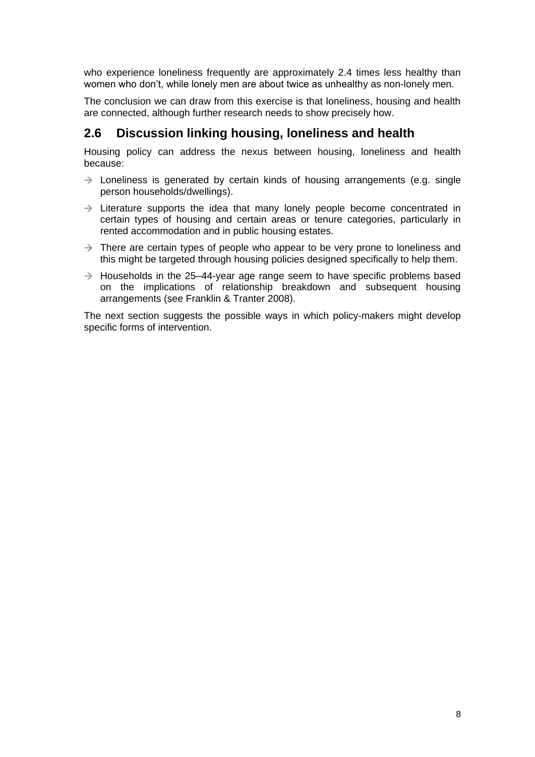who experience loneliness frequently are approximately 2.4 times less healthy than women who don't, while lonely men are about twice as unhealthy as non-lonely men.

The conclusion we can draw from this exercise is that loneliness, housing and health are connected, although further research needs to show precisely how.

#### <span id="page-11-0"></span>**2.6 Discussion linking housing, loneliness and health**

Housing policy can address the nexus between housing, loneliness and health because:

- $\rightarrow$  Loneliness is generated by certain kinds of housing arrangements (e.g. single person households/dwellings).
- $\rightarrow$  Literature supports the idea that many lonely people become concentrated in certain types of housing and certain areas or tenure categories, particularly in rented accommodation and in public housing estates.
- $\rightarrow$  There are certain types of people who appear to be very prone to loneliness and this might be targeted through housing policies designed specifically to help them.
- $\rightarrow$  Households in the 25–44-year age range seem to have specific problems based on the implications of relationship breakdown and subsequent housing arrangements (see Franklin & Tranter 2008).

The next section suggests the possible ways in which policy-makers might develop specific forms of intervention.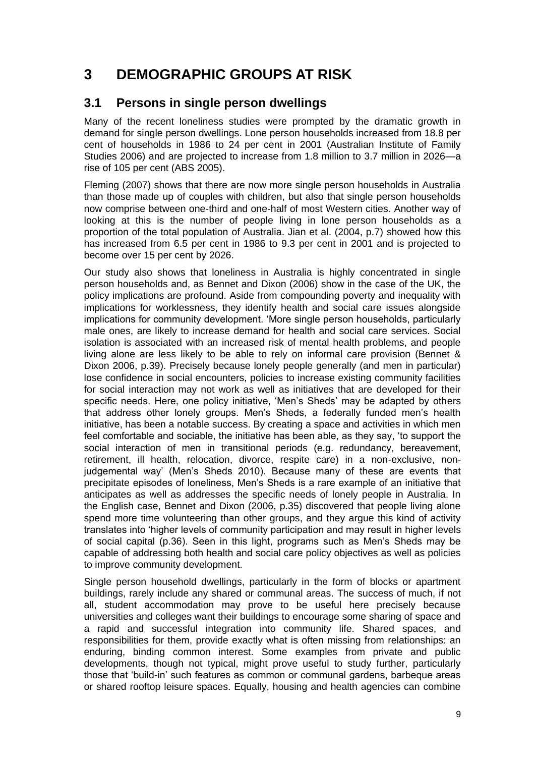# <span id="page-12-0"></span>**3 DEMOGRAPHIC GROUPS AT RISK**

#### <span id="page-12-1"></span>**3.1 Persons in single person dwellings**

Many of the recent loneliness studies were prompted by the dramatic growth in demand for single person dwellings. Lone person households increased from 18.8 per cent of households in 1986 to 24 per cent in 2001 (Australian Institute of Family Studies 2006) and are projected to increase from 1.8 million to 3.7 million in 2026—a rise of 105 per cent (ABS 2005).

Fleming (2007) shows that there are now more single person households in Australia than those made up of couples with children, but also that single person households now comprise between one-third and one-half of most Western cities. Another way of looking at this is the number of people living in lone person households as a proportion of the total population of Australia. Jian et al. (2004, p.7) showed how this has increased from 6.5 per cent in 1986 to 9.3 per cent in 2001 and is projected to become over 15 per cent by 2026.

Our study also shows that loneliness in Australia is highly concentrated in single person households and, as Bennet and Dixon (2006) show in the case of the UK, the policy implications are profound. Aside from compounding poverty and inequality with implications for worklessness, they identify health and social care issues alongside implications for community development. 'More single person households, particularly male ones, are likely to increase demand for health and social care services. Social isolation is associated with an increased risk of mental health problems, and people living alone are less likely to be able to rely on informal care provision (Bennet & Dixon 2006, p.39). Precisely because lonely people generally (and men in particular) lose confidence in social encounters, policies to increase existing community facilities for social interaction may not work as well as initiatives that are developed for their specific needs. Here, one policy initiative, 'Men's Sheds' may be adapted by others that address other lonely groups. Men's Sheds, a federally funded men's health initiative, has been a notable success. By creating a space and activities in which men feel comfortable and sociable, the initiative has been able, as they say, ‗to support the social interaction of men in transitional periods (e.g. redundancy, bereavement, retirement, ill health, relocation, divorce, respite care) in a non-exclusive, nonjudgemental way' (Men's Sheds 2010). Because many of these are events that precipitate episodes of loneliness, Men's Sheds is a rare example of an initiative that anticipates as well as addresses the specific needs of lonely people in Australia. In the English case, Bennet and Dixon (2006, p.35) discovered that people living alone spend more time volunteering than other groups, and they argue this kind of activity translates into ‗higher levels of community participation and may result in higher levels of social capital (p.36). Seen in this light, programs such as Men's Sheds may be capable of addressing both health and social care policy objectives as well as policies to improve community development.

Single person household dwellings, particularly in the form of blocks or apartment buildings, rarely include any shared or communal areas. The success of much, if not all, student accommodation may prove to be useful here precisely because universities and colleges want their buildings to encourage some sharing of space and a rapid and successful integration into community life. Shared spaces, and responsibilities for them, provide exactly what is often missing from relationships: an enduring, binding common interest. Some examples from private and public developments, though not typical, might prove useful to study further, particularly those that 'build-in' such features as common or communal gardens, barbeque areas or shared rooftop leisure spaces. Equally, housing and health agencies can combine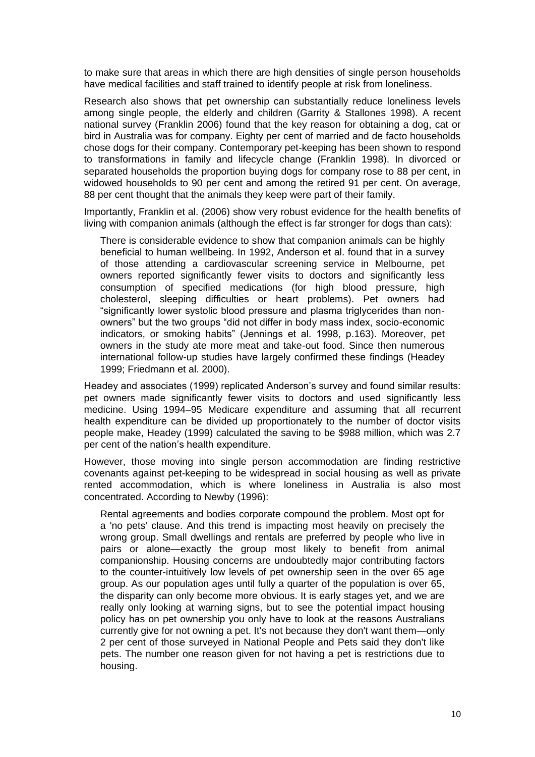to make sure that areas in which there are high densities of single person households have medical facilities and staff trained to identify people at risk from loneliness.

Research also shows that pet ownership can substantially reduce loneliness levels among single people, the elderly and children (Garrity & Stallones 1998). A recent national survey (Franklin 2006) found that the key reason for obtaining a dog, cat or bird in Australia was for company. Eighty per cent of married and de facto households chose dogs for their company. Contemporary pet-keeping has been shown to respond to transformations in family and lifecycle change (Franklin 1998). In divorced or separated households the proportion buying dogs for company rose to 88 per cent, in widowed households to 90 per cent and among the retired 91 per cent. On average, 88 per cent thought that the animals they keep were part of their family.

Importantly, Franklin et al. (2006) show very robust evidence for the health benefits of living with companion animals (although the effect is far stronger for dogs than cats):

There is considerable evidence to show that companion animals can be highly beneficial to human wellbeing. In 1992, Anderson et al. found that in a survey of those attending a cardiovascular screening service in Melbourne, pet owners reported significantly fewer visits to doctors and significantly less consumption of specified medications (for high blood pressure, high cholesterol, sleeping difficulties or heart problems). Pet owners had ―significantly lower systolic blood pressure and plasma triglycerides than nonowners" but the two groups "did not differ in body mass index, socio-economic indicators, or smoking habits" (Jennings et al. 1998, p.163). Moreover, pet owners in the study ate more meat and take-out food. Since then numerous international follow-up studies have largely confirmed these findings (Headey 1999; Friedmann et al. 2000).

Headey and associates (1999) replicated Anderson's survey and found similar results: pet owners made significantly fewer visits to doctors and used significantly less medicine. Using 1994–95 Medicare expenditure and assuming that all recurrent health expenditure can be divided up proportionately to the number of doctor visits people make, Headey (1999) calculated the saving to be \$988 million, which was 2.7 per cent of the nation's health expenditure.

However, those moving into single person accommodation are finding restrictive covenants against pet-keeping to be widespread in social housing as well as private rented accommodation, which is where loneliness in Australia is also most concentrated. According to Newby (1996):

Rental agreements and bodies corporate compound the problem. Most opt for a 'no pets' clause. And this trend is impacting most heavily on precisely the wrong group. Small dwellings and rentals are preferred by people who live in pairs or alone—exactly the group most likely to benefit from animal companionship. Housing concerns are undoubtedly major contributing factors to the counter-intuitively low levels of pet ownership seen in the over 65 age group. As our population ages until fully a quarter of the population is over 65, the disparity can only become more obvious. It is early stages yet, and we are really only looking at warning signs, but to see the potential impact housing policy has on pet ownership you only have to look at the reasons Australians currently give for not owning a pet. It's not because they don't want them—only 2 per cent of those surveyed in National People and Pets said they don't like pets. The number one reason given for not having a pet is restrictions due to housing.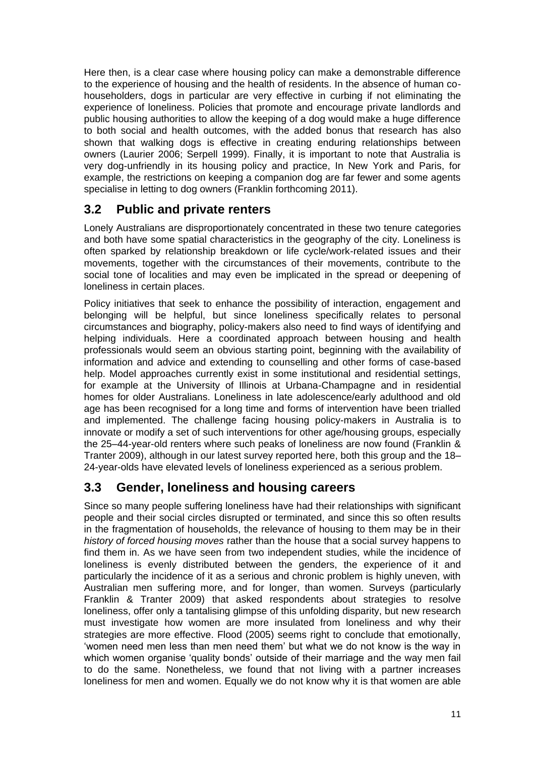Here then, is a clear case where housing policy can make a demonstrable difference to the experience of housing and the health of residents. In the absence of human cohouseholders, dogs in particular are very effective in curbing if not eliminating the experience of loneliness. Policies that promote and encourage private landlords and public housing authorities to allow the keeping of a dog would make a huge difference to both social and health outcomes, with the added bonus that research has also shown that walking dogs is effective in creating enduring relationships between owners (Laurier 2006; Serpell 1999). Finally, it is important to note that Australia is very dog-unfriendly in its housing policy and practice, In New York and Paris, for example, the restrictions on keeping a companion dog are far fewer and some agents specialise in letting to dog owners (Franklin forthcoming 2011).

### <span id="page-14-0"></span>**3.2 Public and private renters**

Lonely Australians are disproportionately concentrated in these two tenure categories and both have some spatial characteristics in the geography of the city. Loneliness is often sparked by relationship breakdown or life cycle/work-related issues and their movements, together with the circumstances of their movements, contribute to the social tone of localities and may even be implicated in the spread or deepening of loneliness in certain places.

Policy initiatives that seek to enhance the possibility of interaction, engagement and belonging will be helpful, but since loneliness specifically relates to personal circumstances and biography, policy-makers also need to find ways of identifying and helping individuals. Here a coordinated approach between housing and health professionals would seem an obvious starting point, beginning with the availability of information and advice and extending to counselling and other forms of case-based help. Model approaches currently exist in some institutional and residential settings, for example at the University of Illinois at Urbana-Champagne and in residential homes for older Australians. Loneliness in late adolescence/early adulthood and old age has been recognised for a long time and forms of intervention have been trialled and implemented. The challenge facing housing policy-makers in Australia is to innovate or modify a set of such interventions for other age/housing groups, especially the 25–44-year-old renters where such peaks of loneliness are now found (Franklin & Tranter 2009), although in our latest survey reported here, both this group and the 18– 24-year-olds have elevated levels of loneliness experienced as a serious problem.

### <span id="page-14-1"></span>**3.3 Gender, loneliness and housing careers**

Since so many people suffering loneliness have had their relationships with significant people and their social circles disrupted or terminated, and since this so often results in the fragmentation of households, the relevance of housing to them may be in their *history of forced housing moves* rather than the house that a social survey happens to find them in. As we have seen from two independent studies, while the incidence of loneliness is evenly distributed between the genders, the experience of it and particularly the incidence of it as a serious and chronic problem is highly uneven, with Australian men suffering more, and for longer, than women. Surveys (particularly Franklin & Tranter 2009) that asked respondents about strategies to resolve loneliness, offer only a tantalising glimpse of this unfolding disparity, but new research must investigate how women are more insulated from loneliness and why their strategies are more effective. Flood (2005) seems right to conclude that emotionally, ‗women need men less than men need them' but what we do not know is the way in which women organise 'quality bonds' outside of their marriage and the way men fail to do the same. Nonetheless, we found that not living with a partner increases loneliness for men and women. Equally we do not know why it is that women are able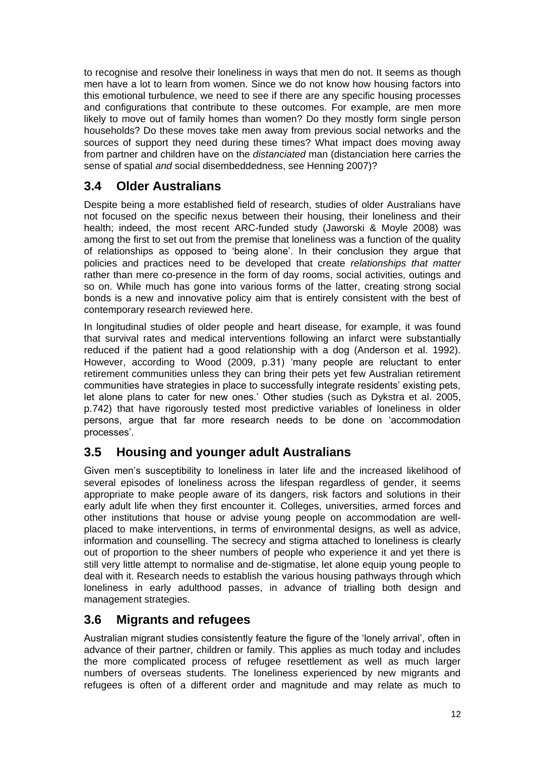to recognise and resolve their loneliness in ways that men do not. It seems as though men have a lot to learn from women. Since we do not know how housing factors into this emotional turbulence, we need to see if there are any specific housing processes and configurations that contribute to these outcomes. For example, are men more likely to move out of family homes than women? Do they mostly form single person households? Do these moves take men away from previous social networks and the sources of support they need during these times? What impact does moving away from partner and children have on the *distanciated* man (distanciation here carries the sense of spatial *and* social disembeddedness, see Henning 2007)?

### <span id="page-15-0"></span>**3.4 Older Australians**

Despite being a more established field of research, studies of older Australians have not focused on the specific nexus between their housing, their loneliness and their health; indeed, the most recent ARC-funded study (Jaworski & Moyle 2008) was among the first to set out from the premise that loneliness was a function of the quality of relationships as opposed to 'being alone'. In their conclusion they argue that policies and practices need to be developed that create *relationships that matter* rather than mere co-presence in the form of day rooms, social activities, outings and so on. While much has gone into various forms of the latter, creating strong social bonds is a new and innovative policy aim that is entirely consistent with the best of contemporary research reviewed here.

In longitudinal studies of older people and heart disease, for example, it was found that survival rates and medical interventions following an infarct were substantially reduced if the patient had a good relationship with a dog (Anderson et al. 1992). However, according to Wood (2009, p.31) 'many people are reluctant to enter retirement communities unless they can bring their pets yet few Australian retirement communities have strategies in place to successfully integrate residents' existing pets, let alone plans to cater for new ones.' Other studies (such as Dykstra et al. 2005, p.742) that have rigorously tested most predictive variables of loneliness in older persons, argue that far more research needs to be done on ‗accommodation processes'.

# <span id="page-15-1"></span>**3.5 Housing and younger adult Australians**

Given men's susceptibility to loneliness in later life and the increased likelihood of several episodes of loneliness across the lifespan regardless of gender, it seems appropriate to make people aware of its dangers, risk factors and solutions in their early adult life when they first encounter it. Colleges, universities, armed forces and other institutions that house or advise young people on accommodation are wellplaced to make interventions, in terms of environmental designs, as well as advice, information and counselling. The secrecy and stigma attached to loneliness is clearly out of proportion to the sheer numbers of people who experience it and yet there is still very little attempt to normalise and de-stigmatise, let alone equip young people to deal with it. Research needs to establish the various housing pathways through which loneliness in early adulthood passes, in advance of trialling both design and management strategies.

### <span id="page-15-2"></span>**3.6 Migrants and refugees**

Australian migrant studies consistently feature the figure of the 'lonely arrival', often in advance of their partner, children or family. This applies as much today and includes the more complicated process of refugee resettlement as well as much larger numbers of overseas students. The loneliness experienced by new migrants and refugees is often of a different order and magnitude and may relate as much to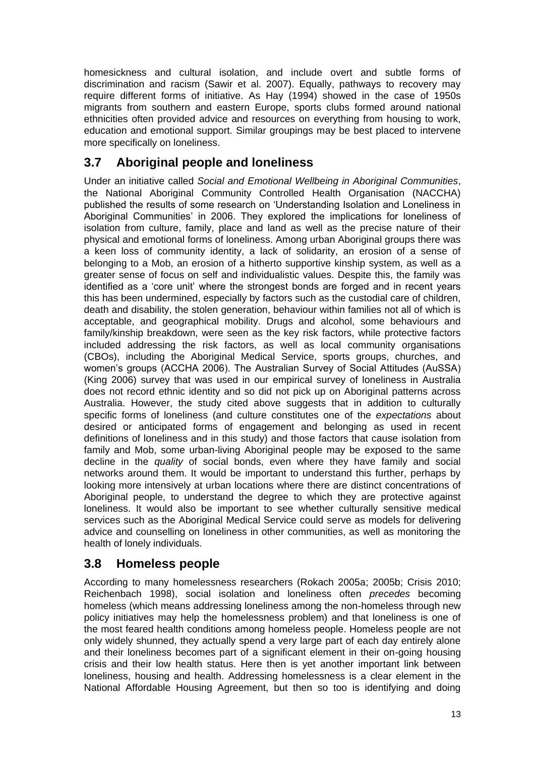homesickness and cultural isolation, and include overt and subtle forms of discrimination and racism (Sawir et al. 2007). Equally, pathways to recovery may require different forms of initiative. As Hay (1994) showed in the case of 1950s migrants from southern and eastern Europe, sports clubs formed around national ethnicities often provided advice and resources on everything from housing to work, education and emotional support. Similar groupings may be best placed to intervene more specifically on loneliness.

# <span id="page-16-0"></span>**3.7 Aboriginal people and loneliness**

Under an initiative called *Social and Emotional Wellbeing in Aboriginal Communities*, the National Aboriginal Community Controlled Health Organisation (NACCHA) published the results of some research on ‗Understanding Isolation and Loneliness in Aboriginal Communities' in 2006. They explored the implications for loneliness of isolation from culture, family, place and land as well as the precise nature of their physical and emotional forms of loneliness. Among urban Aboriginal groups there was a keen loss of community identity, a lack of solidarity, an erosion of a sense of belonging to a Mob, an erosion of a hitherto supportive kinship system, as well as a greater sense of focus on self and individualistic values. Despite this, the family was identified as a 'core unit' where the strongest bonds are forged and in recent years this has been undermined, especially by factors such as the custodial care of children, death and disability, the stolen generation, behaviour within families not all of which is acceptable, and geographical mobility. Drugs and alcohol, some behaviours and family/kinship breakdown, were seen as the key risk factors, while protective factors included addressing the risk factors, as well as local community organisations (CBOs), including the Aboriginal Medical Service, sports groups, churches, and women's groups (ACCHA 2006). The Australian Survey of Social Attitudes (AuSSA) (King 2006) survey that was used in our empirical survey of loneliness in Australia does not record ethnic identity and so did not pick up on Aboriginal patterns across Australia. However, the study cited above suggests that in addition to culturally specific forms of loneliness (and culture constitutes one of the *expectations* about desired or anticipated forms of engagement and belonging as used in recent definitions of loneliness and in this study) and those factors that cause isolation from family and Mob, some urban-living Aboriginal people may be exposed to the same decline in the *quality* of social bonds, even where they have family and social networks around them. It would be important to understand this further, perhaps by looking more intensively at urban locations where there are distinct concentrations of Aboriginal people, to understand the degree to which they are protective against loneliness. It would also be important to see whether culturally sensitive medical services such as the Aboriginal Medical Service could serve as models for delivering advice and counselling on loneliness in other communities, as well as monitoring the health of lonely individuals.

### <span id="page-16-1"></span>**3.8 Homeless people**

According to many homelessness researchers (Rokach 2005a; 2005b; Crisis 2010; Reichenbach 1998), social isolation and loneliness often *precedes* becoming homeless (which means addressing loneliness among the non-homeless through new policy initiatives may help the homelessness problem) and that loneliness is one of the most feared health conditions among homeless people. Homeless people are not only widely shunned, they actually spend a very large part of each day entirely alone and their loneliness becomes part of a significant element in their on-going housing crisis and their low health status. Here then is yet another important link between loneliness, housing and health. Addressing homelessness is a clear element in the National Affordable Housing Agreement, but then so too is identifying and doing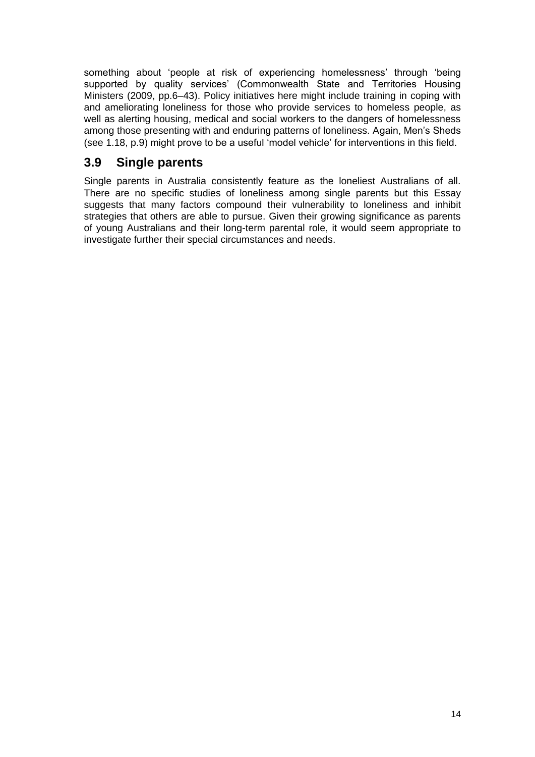something about 'people at risk of experiencing homelessness' through 'being supported by quality services' (Commonwealth State and Territories Housing Ministers (2009, pp.6–43). Policy initiatives here might include training in coping with and ameliorating loneliness for those who provide services to homeless people, as well as alerting housing, medical and social workers to the dangers of homelessness among those presenting with and enduring patterns of loneliness. Again, Men's Sheds (see 1.18, p.9) might prove to be a useful 'model vehicle' for interventions in this field.

# <span id="page-17-0"></span>**3.9 Single parents**

Single parents in Australia consistently feature as the loneliest Australians of all. There are no specific studies of loneliness among single parents but this Essay suggests that many factors compound their vulnerability to loneliness and inhibit strategies that others are able to pursue. Given their growing significance as parents of young Australians and their long-term parental role, it would seem appropriate to investigate further their special circumstances and needs.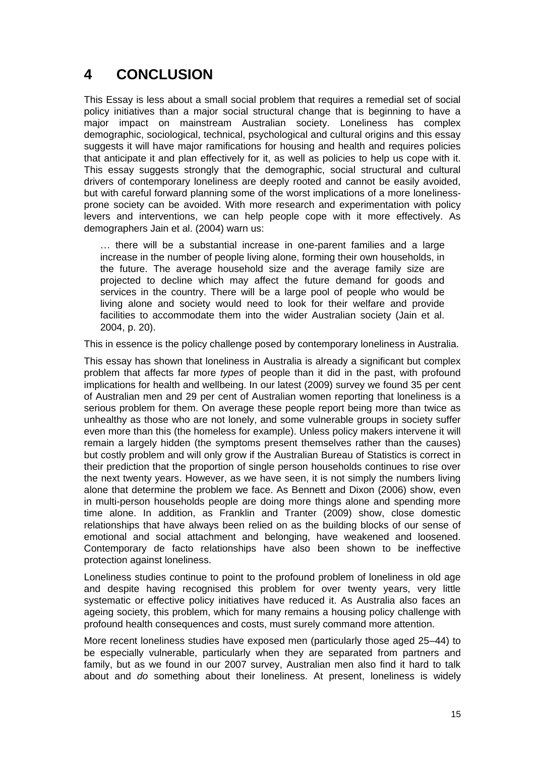# <span id="page-18-0"></span>**4 CONCLUSION**

This Essay is less about a small social problem that requires a remedial set of social policy initiatives than a major social structural change that is beginning to have a major impact on mainstream Australian society. Loneliness has complex demographic, sociological, technical, psychological and cultural origins and this essay suggests it will have major ramifications for housing and health and requires policies that anticipate it and plan effectively for it, as well as policies to help us cope with it. This essay suggests strongly that the demographic, social structural and cultural drivers of contemporary loneliness are deeply rooted and cannot be easily avoided, but with careful forward planning some of the worst implications of a more lonelinessprone society can be avoided. With more research and experimentation with policy levers and interventions, we can help people cope with it more effectively. As demographers Jain et al. (2004) warn us:

… there will be a substantial increase in one-parent families and a large increase in the number of people living alone, forming their own households, in the future. The average household size and the average family size are projected to decline which may affect the future demand for goods and services in the country. There will be a large pool of people who would be living alone and society would need to look for their welfare and provide facilities to accommodate them into the wider Australian society (Jain et al. 2004, p. 20).

This in essence is the policy challenge posed by contemporary loneliness in Australia.

This essay has shown that loneliness in Australia is already a significant but complex problem that affects far more *types* of people than it did in the past, with profound implications for health and wellbeing. In our latest (2009) survey we found 35 per cent of Australian men and 29 per cent of Australian women reporting that loneliness is a serious problem for them. On average these people report being more than twice as unhealthy as those who are not lonely, and some vulnerable groups in society suffer even more than this (the homeless for example). Unless policy makers intervene it will remain a largely hidden (the symptoms present themselves rather than the causes) but costly problem and will only grow if the Australian Bureau of Statistics is correct in their prediction that the proportion of single person households continues to rise over the next twenty years. However, as we have seen, it is not simply the numbers living alone that determine the problem we face. As Bennett and Dixon (2006) show, even in multi-person households people are doing more things alone and spending more time alone. In addition, as Franklin and Tranter (2009) show, close domestic relationships that have always been relied on as the building blocks of our sense of emotional and social attachment and belonging, have weakened and loosened. Contemporary de facto relationships have also been shown to be ineffective protection against loneliness.

Loneliness studies continue to point to the profound problem of loneliness in old age and despite having recognised this problem for over twenty years, very little systematic or effective policy initiatives have reduced it. As Australia also faces an ageing society, this problem, which for many remains a housing policy challenge with profound health consequences and costs, must surely command more attention.

More recent loneliness studies have exposed men (particularly those aged 25–44) to be especially vulnerable, particularly when they are separated from partners and family, but as we found in our 2007 survey, Australian men also find it hard to talk about and *do* something about their loneliness. At present, loneliness is widely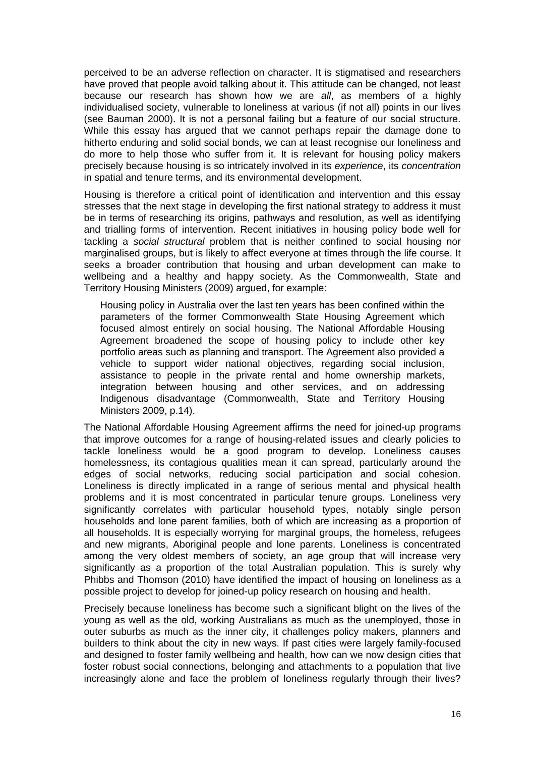perceived to be an adverse reflection on character. It is stigmatised and researchers have proved that people avoid talking about it. This attitude can be changed, not least because our research has shown how we are *all*, as members of a highly individualised society, vulnerable to loneliness at various (if not all) points in our lives (see Bauman 2000). It is not a personal failing but a feature of our social structure. While this essay has argued that we cannot perhaps repair the damage done to hitherto enduring and solid social bonds, we can at least recognise our loneliness and do more to help those who suffer from it. It is relevant for housing policy makers precisely because housing is so intricately involved in its *experience*, its *concentration* in spatial and tenure terms, and its environmental development.

Housing is therefore a critical point of identification and intervention and this essay stresses that the next stage in developing the first national strategy to address it must be in terms of researching its origins, pathways and resolution, as well as identifying and trialling forms of intervention. Recent initiatives in housing policy bode well for tackling a *social structural* problem that is neither confined to social housing nor marginalised groups, but is likely to affect everyone at times through the life course. It seeks a broader contribution that housing and urban development can make to wellbeing and a healthy and happy society. As the Commonwealth, State and Territory Housing Ministers (2009) argued, for example:

Housing policy in Australia over the last ten years has been confined within the parameters of the former Commonwealth State Housing Agreement which focused almost entirely on social housing. The National Affordable Housing Agreement broadened the scope of housing policy to include other key portfolio areas such as planning and transport. The Agreement also provided a vehicle to support wider national objectives, regarding social inclusion, assistance to people in the private rental and home ownership markets, integration between housing and other services, and on addressing Indigenous disadvantage (Commonwealth, State and Territory Housing Ministers 2009, p.14).

The National Affordable Housing Agreement affirms the need for joined-up programs that improve outcomes for a range of housing-related issues and clearly policies to tackle loneliness would be a good program to develop. Loneliness causes homelessness, its contagious qualities mean it can spread, particularly around the edges of social networks, reducing social participation and social cohesion. Loneliness is directly implicated in a range of serious mental and physical health problems and it is most concentrated in particular tenure groups. Loneliness very significantly correlates with particular household types, notably single person households and lone parent families, both of which are increasing as a proportion of all households. It is especially worrying for marginal groups, the homeless, refugees and new migrants, Aboriginal people and lone parents. Loneliness is concentrated among the very oldest members of society, an age group that will increase very significantly as a proportion of the total Australian population. This is surely why Phibbs and Thomson (2010) have identified the impact of housing on loneliness as a possible project to develop for joined-up policy research on housing and health.

Precisely because loneliness has become such a significant blight on the lives of the young as well as the old, working Australians as much as the unemployed, those in outer suburbs as much as the inner city, it challenges policy makers, planners and builders to think about the city in new ways. If past cities were largely family-focused and designed to foster family wellbeing and health, how can we now design cities that foster robust social connections, belonging and attachments to a population that live increasingly alone and face the problem of loneliness regularly through their lives?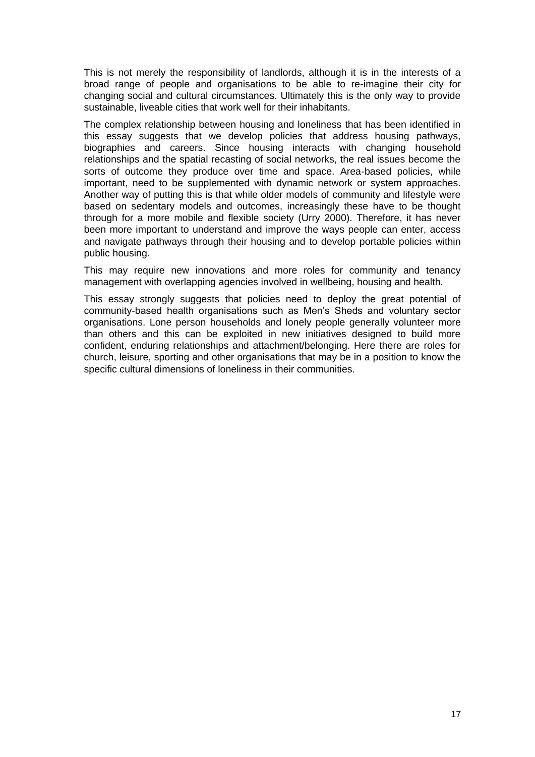This is not merely the responsibility of landlords, although it is in the interests of a broad range of people and organisations to be able to re-imagine their city for changing social and cultural circumstances. Ultimately this is the only way to provide sustainable, liveable cities that work well for their inhabitants.

The complex relationship between housing and loneliness that has been identified in this essay suggests that we develop policies that address housing pathways, biographies and careers. Since housing interacts with changing household relationships and the spatial recasting of social networks, the real issues become the sorts of outcome they produce over time and space. Area-based policies, while important, need to be supplemented with dynamic network or system approaches. Another way of putting this is that while older models of community and lifestyle were based on sedentary models and outcomes, increasingly these have to be thought through for a more mobile and flexible society (Urry 2000). Therefore, it has never been more important to understand and improve the ways people can enter, access and navigate pathways through their housing and to develop portable policies within public housing.

This may require new innovations and more roles for community and tenancy management with overlapping agencies involved in wellbeing, housing and health.

This essay strongly suggests that policies need to deploy the great potential of community-based health organisations such as Men's Sheds and voluntary sector organisations. Lone person households and lonely people generally volunteer more than others and this can be exploited in new initiatives designed to build more confident, enduring relationships and attachment/belonging. Here there are roles for church, leisure, sporting and other organisations that may be in a position to know the specific cultural dimensions of loneliness in their communities.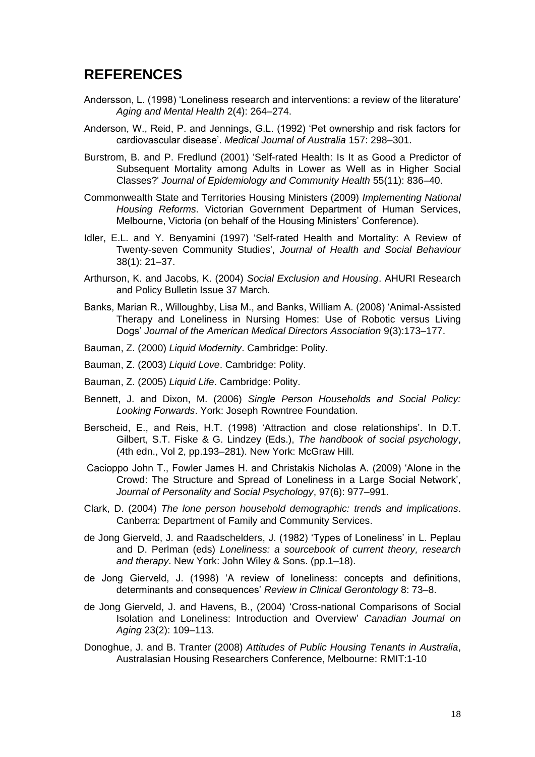# <span id="page-21-0"></span>**REFERENCES**

- Andersson, L. (1998) ‗Loneliness research and interventions: a review of the literature' *Aging and Mental Health* 2(4): 264–274.
- Anderson, W., Reid, P. and Jennings, G.L. (1992) 'Pet ownership and risk factors for cardiovascular disease'. *Medical Journal of Australia* 157: 298–301.
- Burstrom, B. and P. Fredlund (2001) 'Self-rated Health: Is It as Good a Predictor of Subsequent Mortality among Adults in Lower as Well as in Higher Social Classes?' *Journal of Epidemiology and Community Health* 55(11): 836–40.
- Commonwealth State and Territories Housing Ministers (2009) *Implementing National Housing Reforms*. Victorian Government Department of Human Services, Melbourne, Victoria (on behalf of the Housing Ministers' Conference).
- Idler, E.L. and Y. Benyamini (1997) 'Self-rated Health and Mortality: A Review of Twenty-seven Community Studies', *Journal of Health and Social Behaviour* 38(1): 21–37.
- Arthurson, K. and Jacobs, K. (2004) *Social Exclusion and Housing*. AHURI Research and Policy Bulletin Issue 37 March.
- Banks, Marian R., Willoughby, Lisa M., and Banks, William A. (2008) 'Animal-Assisted Therapy and Loneliness in Nursing Homes: Use of Robotic versus Living Dogs' *Journal of the American Medical Directors Association* 9(3):173–177.
- Bauman, Z. (2000) *Liquid Modernity*. Cambridge: Polity.
- Bauman, Z. (2003) *Liquid Love*. Cambridge: Polity.
- Bauman, Z. (2005) *Liquid Life*. Cambridge: Polity.
- Bennett, J. and Dixon, M. (2006) *Single Person Households and Social Policy: Looking Forwards*. York: Joseph Rowntree Foundation.
- Berscheid, E., and Reis, H.T. (1998) ‗Attraction and close relationships'. In D.T. Gilbert, S.T. Fiske & G. Lindzey (Eds.), *The handbook of social psychology*, (4th edn., Vol 2, pp.193–281). New York: McGraw Hill.
- Cacioppo John T., Fowler James H. and Christakis Nicholas A. (2009) ‗Alone in the Crowd: The Structure and Spread of Loneliness in a Large Social Network', *Journal of Personality and Social Psychology*, 97(6): 977–991.
- Clark, D. (2004) *The lone person household demographic: trends and implications*. Canberra: Department of Family and Community Services.
- de Jong Gierveld, J. and Raadschelders, J. (1982) ‗Types of Loneliness' in L. Peplau and D. Perlman (eds) *Loneliness: a sourcebook of current theory, research and therapy*. New York: John Wiley & Sons. (pp.1–18).
- de Jong Gierveld, J. (1998) ‗A review of loneliness: concepts and definitions, determinants and consequences' *Review in Clinical Gerontology* 8: 73–8.
- de Jong Gierveld, J. and Havens, B., (2004) ‗Cross-national Comparisons of Social Isolation and Loneliness: Introduction and Overview' *Canadian Journal on Aging* 23(2): 109–113.
- Donoghue, J. and B. Tranter (2008) *Attitudes of Public Housing Tenants in Australia*, Australasian Housing Researchers Conference, Melbourne: RMIT:1-10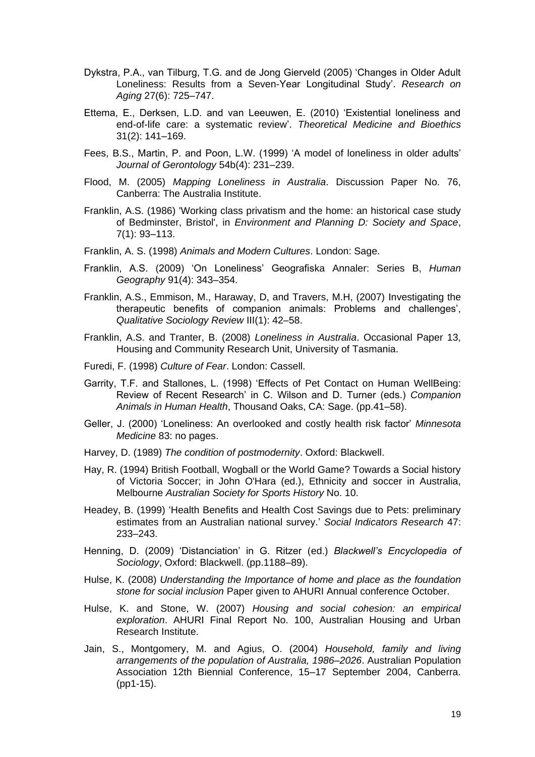- Dykstra, P.A., van Tilburg, T.G. and de Jong Gierveld (2005) ‗Changes in Older Adult Loneliness: Results from a Seven-Year Longitudinal Study'. *Research on Aging* 27(6): 725–747.
- Ettema, E., Derksen, L.D. and van Leeuwen, E. (2010) ‗Existential loneliness and end-of-life care: a systematic review'. *Theoretical Medicine and Bioethics* 31(2): 141–169.
- Fees, B.S., Martin, P. and Poon, L.W. (1999) ‗A model of loneliness in older adults' *Journal of Gerontology* 54b(4): 231–239.
- Flood, M. (2005) *Mapping Loneliness in Australia*. Discussion Paper No. 76, Canberra: The Australia Institute.
- Franklin, A.S. (1986) 'Working class privatism and the home: an historical case study of Bedminster, Bristol', in *Environment and Planning D: Society and Space*, 7(1): 93–113.
- Franklin, A. S. (1998) *Animals and Modern Cultures*. London: Sage.
- Franklin, A.S. (2009) ‗On Loneliness' Geografiska Annaler: Series B, *Human Geography* 91(4): 343–354.
- Franklin, A.S., Emmison, M., Haraway, D, and Travers, M.H, (2007) Investigating the therapeutic benefits of companion animals: Problems and challenges', *Qualitative Sociology Review* III(1): 42–58.
- Franklin, A.S. and Tranter, B. (2008) *Loneliness in Australia*. Occasional Paper 13, Housing and Community Research Unit, University of Tasmania.
- Furedi, F. (1998) *Culture of Fear*. London: Cassell.
- Garrity, T.F. and Stallones, L. (1998) 'Effects of Pet Contact on Human WellBeing: Review of Recent Research' in C. Wilson and D. Turner (eds.) *Companion Animals in Human Health*, Thousand Oaks, CA: Sage. (pp.41–58).
- Geller, J. (2000) ‗Loneliness: An overlooked and costly health risk factor' *Minnesota Medicine* 83: no pages.
- Harvey, D. (1989) *The condition of postmodernity*. Oxford: Blackwell.
- Hay, R. (1994) British Football, Wogball or the World Game? Towards a Social history of Victoria Soccer; in John O'Hara (ed.), Ethnicity and soccer in Australia, Melbourne *Australian Society for Sports History* No. 10.
- Headey, B. (1999) 'Health Benefits and Health Cost Savings due to Pets: preliminary estimates from an Australian national survey.' *Social Indicators Research* 47: 233–243.
- Henning, D. (2009) ‗Distanciation' in G. Ritzer (ed.) *Blackwell's Encyclopedia of Sociology*, Oxford: Blackwell. (pp.1188–89).
- Hulse, K. (2008) *Understanding the Importance of home and place as the foundation stone for social inclusion* Paper given to AHURI Annual conference October.
- Hulse, K. and Stone, W. (2007) *Housing and social cohesion: an empirical exploration*. AHURI Final Report No. 100, Australian Housing and Urban Research Institute.
- Jain, S., Montgomery, M. and Agius, O. (2004) *Household, family and living arrangements of the population of Australia, 1986–2026*. Australian Population Association 12th Biennial Conference, 15–17 September 2004, Canberra. (pp1-15).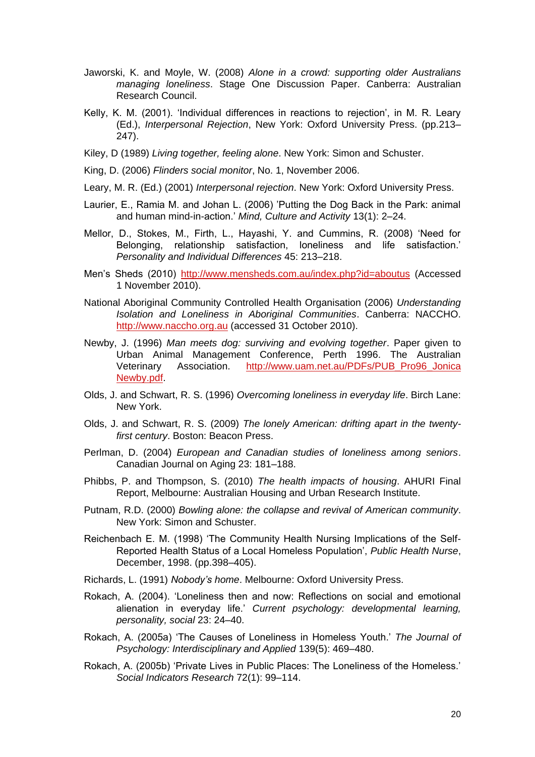- Jaworski, K. and Moyle, W. (2008) *Alone in a crowd: supporting older Australians managing loneliness*. Stage One Discussion Paper. Canberra: Australian Research Council.
- Kelly, K. M. (2001). 'Individual differences in reactions to rejection', in M. R. Leary (Ed.), *Interpersonal Rejection*, New York: Oxford University Press. (pp.213– 247).
- Kiley, D (1989) *Living together, feeling alone*. New York: Simon and Schuster.
- King, D. (2006) *Flinders social monitor*, No. 1, November 2006.
- Leary, M. R. (Ed.) (2001) *Interpersonal rejection*. New York: Oxford University Press.
- Laurier, E., Ramia M. and Johan L. (2006) 'Putting the Dog Back in the Park: animal and human mind-in-action.' *Mind, Culture and Activity* 13(1): 2–24.
- Mellor, D., Stokes, M., Firth, L., Hayashi, Y. and Cummins, R. (2008) 'Need for Belonging, relationship satisfaction, loneliness and life satisfaction.' *Personality and Individual Differences* 45: 213–218.
- Men's Sheds (2010)<http://www.mensheds.com.au/index.php?id=aboutus> (Accessed 1 November 2010).
- National Aboriginal Community Controlled Health Organisation (2006) *Understanding Isolation and Loneliness in Aboriginal Communities*. Canberra: NACCHO. [http://www.naccho.org.au](http://www.naccho.org.au/) (accessed 31 October 2010).
- Newby, J. (1996) *Man meets dog: surviving and evolving together*. Paper given to Urban Animal Management Conference, Perth 1996. The Australian Veterinary Association. [http://www.uam.net.au/PDFs/PUB\\_Pro96\\_Jonica](http://www.uam.net.au/PDFs/PUB_Pro96_JonicaNewby.pdf) [Newby.pdf.](http://www.uam.net.au/PDFs/PUB_Pro96_JonicaNewby.pdf)
- Olds, J. and Schwart, R. S. (1996) *Overcoming loneliness in everyday life*. Birch Lane: New York.
- Olds, J. and Schwart, R. S. (2009) *The lonely American: drifting apart in the twentyfirst century*. Boston: Beacon Press.
- Perlman, D. (2004) *European and Canadian studies of loneliness among seniors*. Canadian Journal on Aging 23: 181–188.
- Phibbs, P. and Thompson, S. (2010) *The health impacts of housing*. AHURI Final Report, Melbourne: Australian Housing and Urban Research Institute.
- Putnam, R.D. (2000) *Bowling alone: the collapse and revival of American community*. New York: Simon and Schuster.
- Reichenbach E. M. (1998) 'The Community Health Nursing Implications of the Self-Reported Health Status of a Local Homeless Population', *Public Health Nurse*, December, 1998. (pp.398–405).
- Richards, L. (1991) *Nobody's home*. Melbourne: Oxford University Press.
- Rokach, A. (2004). 'Loneliness then and now: Reflections on social and emotional alienation in everyday life.' *Current psychology: developmental learning, personality, social* 23: 24–40.
- Rokach, A. (2005a) ‗The Causes of Loneliness in Homeless Youth.' *The Journal of Psychology: Interdisciplinary and Applied* 139(5): 469–480.
- Rokach, A. (2005b) 'Private Lives in Public Places: The Loneliness of the Homeless.' *Social Indicators Research* 72(1): 99–114.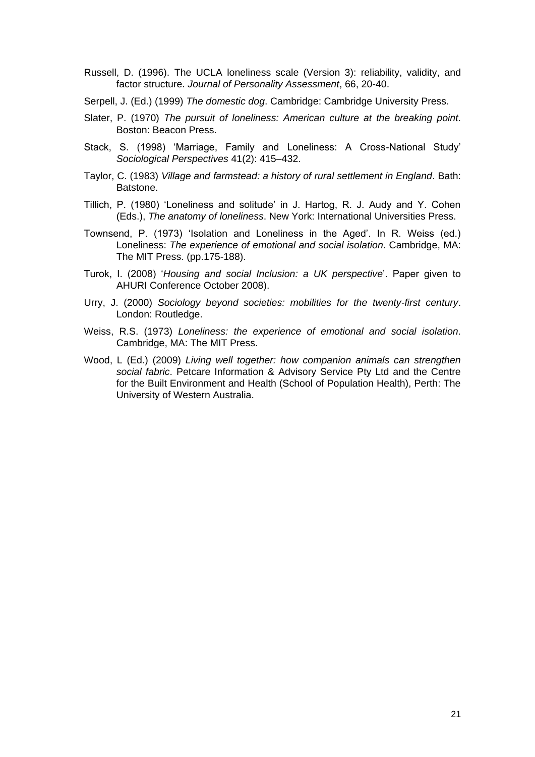- Russell, D. (1996). The UCLA loneliness scale (Version 3): reliability, validity, and factor structure. *Journal of Personality Assessment*, 66, 20-40.
- Serpell, J. (Ed.) (1999) *The domestic dog*. Cambridge: Cambridge University Press.
- Slater, P. (1970) *The pursuit of loneliness: American culture at the breaking point*. Boston: Beacon Press.
- Stack, S. (1998) 'Marriage, Family and Loneliness: A Cross-National Study' *Sociological Perspectives* 41(2): 415–432.
- Taylor, C. (1983) *Village and farmstead: a history of rural settlement in England*. Bath: Batstone.
- Tillich, P. (1980) ‗Loneliness and solitude' in J. Hartog, R. J. Audy and Y. Cohen (Eds.), *The anatomy of loneliness*. New York: International Universities Press.
- Townsend, P. (1973) 'Isolation and Loneliness in the Aged'. In R. Weiss (ed.) Loneliness: *The experience of emotional and social isolation*. Cambridge, MA: The MIT Press. (pp.175-188).
- Turok, I. (2008) ‗*Housing and social Inclusion: a UK perspective*'. Paper given to AHURI Conference October 2008).
- Urry, J. (2000) *Sociology beyond societies: mobilities for the twenty-first century*. London: Routledge.
- Weiss, R.S. (1973) *Loneliness: the experience of emotional and social isolation*. Cambridge, MA: The MIT Press.
- Wood, L (Ed.) (2009) *Living well together: how companion animals can strengthen social fabric*. Petcare Information & Advisory Service Pty Ltd and the Centre for the Built Environment and Health (School of Population Health), Perth: The University of Western Australia.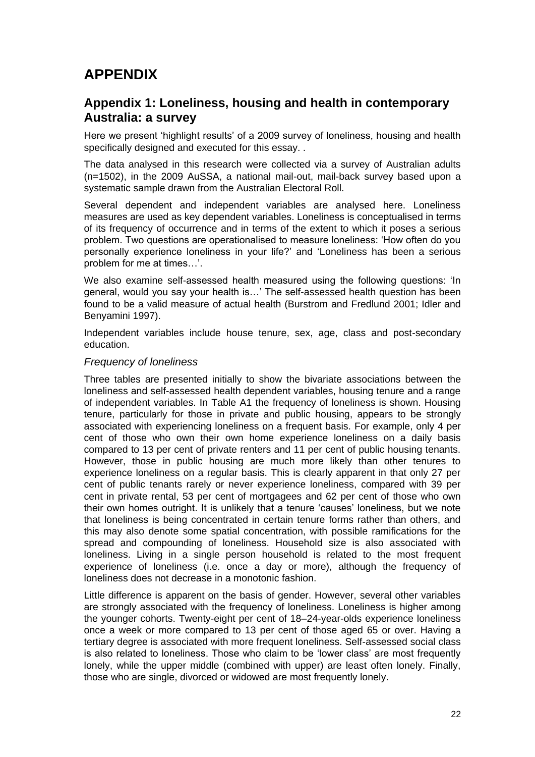# <span id="page-25-0"></span>**APPENDIX**

#### <span id="page-25-1"></span>**Appendix 1: Loneliness, housing and health in contemporary Australia: a survey**

Here we present 'highlight results' of a 2009 survey of loneliness, housing and health specifically designed and executed for this essay. .

The data analysed in this research were collected via a survey of Australian adults (n=1502), in the 2009 AuSSA, a national mail-out, mail-back survey based upon a systematic sample drawn from the Australian Electoral Roll.

Several dependent and independent variables are analysed here. Loneliness measures are used as key dependent variables. Loneliness is conceptualised in terms of its frequency of occurrence and in terms of the extent to which it poses a serious problem. Two questions are operationalised to measure loneliness: ‗How often do you personally experience loneliness in your life?' and ‗Loneliness has been a serious problem for me at times…'.

We also examine self-assessed health measured using the following questions: 'In general, would you say your health is…' The self-assessed health question has been found to be a valid measure of actual health (Burstrom and Fredlund 2001; Idler and Benyamini 1997).

Independent variables include house tenure, sex, age, class and post-secondary education.

#### *Frequency of loneliness*

Three tables are presented initially to show the bivariate associations between the loneliness and self-assessed health dependent variables, housing tenure and a range of independent variables. In Table A1 the frequency of loneliness is shown. Housing tenure, particularly for those in private and public housing, appears to be strongly associated with experiencing loneliness on a frequent basis. For example, only 4 per cent of those who own their own home experience loneliness on a daily basis compared to 13 per cent of private renters and 11 per cent of public housing tenants. However, those in public housing are much more likely than other tenures to experience loneliness on a regular basis. This is clearly apparent in that only 27 per cent of public tenants rarely or never experience loneliness, compared with 39 per cent in private rental, 53 per cent of mortgagees and 62 per cent of those who own their own homes outright. It is unlikely that a tenure 'causes' loneliness, but we note that loneliness is being concentrated in certain tenure forms rather than others, and this may also denote some spatial concentration, with possible ramifications for the spread and compounding of loneliness. Household size is also associated with loneliness. Living in a single person household is related to the most frequent experience of loneliness (i.e. once a day or more), although the frequency of loneliness does not decrease in a monotonic fashion.

Little difference is apparent on the basis of gender. However, several other variables are strongly associated with the frequency of loneliness. Loneliness is higher among the younger cohorts. Twenty-eight per cent of 18–24-year-olds experience loneliness once a week or more compared to 13 per cent of those aged 65 or over. Having a tertiary degree is associated with more frequent loneliness. Self-assessed social class is also related to loneliness. Those who claim to be 'lower class' are most frequently lonely, while the upper middle (combined with upper) are least often lonely. Finally, those who are single, divorced or widowed are most frequently lonely.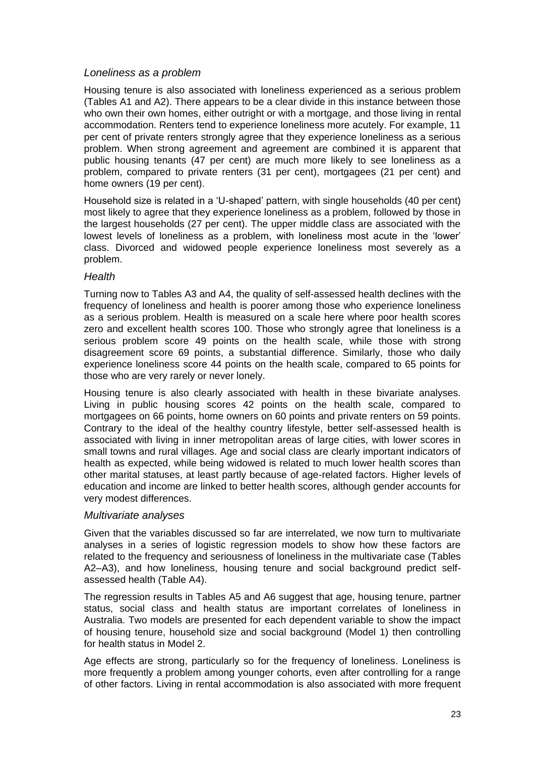#### *Loneliness as a problem*

Housing tenure is also associated with loneliness experienced as a serious problem (Tables A1 and A2). There appears to be a clear divide in this instance between those who own their own homes, either outright or with a mortgage, and those living in rental accommodation. Renters tend to experience loneliness more acutely. For example, 11 per cent of private renters strongly agree that they experience loneliness as a serious problem. When strong agreement and agreement are combined it is apparent that public housing tenants (47 per cent) are much more likely to see loneliness as a problem, compared to private renters (31 per cent), mortgagees (21 per cent) and home owners (19 per cent).

Household size is related in a 'U-shaped' pattern, with single households (40 per cent) most likely to agree that they experience loneliness as a problem, followed by those in the largest households (27 per cent). The upper middle class are associated with the lowest levels of loneliness as a problem, with loneliness most acute in the 'lower' class. Divorced and widowed people experience loneliness most severely as a problem.

#### *Health*

Turning now to Tables A3 and A4, the quality of self-assessed health declines with the frequency of loneliness and health is poorer among those who experience loneliness as a serious problem. Health is measured on a scale here where poor health scores zero and excellent health scores 100. Those who strongly agree that loneliness is a serious problem score 49 points on the health scale, while those with strong disagreement score 69 points, a substantial difference. Similarly, those who daily experience loneliness score 44 points on the health scale, compared to 65 points for those who are very rarely or never lonely.

Housing tenure is also clearly associated with health in these bivariate analyses. Living in public housing scores 42 points on the health scale, compared to mortgagees on 66 points, home owners on 60 points and private renters on 59 points. Contrary to the ideal of the healthy country lifestyle, better self-assessed health is associated with living in inner metropolitan areas of large cities, with lower scores in small towns and rural villages. Age and social class are clearly important indicators of health as expected, while being widowed is related to much lower health scores than other marital statuses, at least partly because of age-related factors. Higher levels of education and income are linked to better health scores, although gender accounts for very modest differences.

#### *Multivariate analyses*

Given that the variables discussed so far are interrelated, we now turn to multivariate analyses in a series of logistic regression models to show how these factors are related to the frequency and seriousness of loneliness in the multivariate case (Tables A2–A3), and how loneliness, housing tenure and social background predict selfassessed health (Table A4).

The regression results in Tables A5 and A6 suggest that age, housing tenure, partner status, social class and health status are important correlates of loneliness in Australia. Two models are presented for each dependent variable to show the impact of housing tenure, household size and social background (Model 1) then controlling for health status in Model 2.

Age effects are strong, particularly so for the frequency of loneliness. Loneliness is more frequently a problem among younger cohorts, even after controlling for a range of other factors. Living in rental accommodation is also associated with more frequent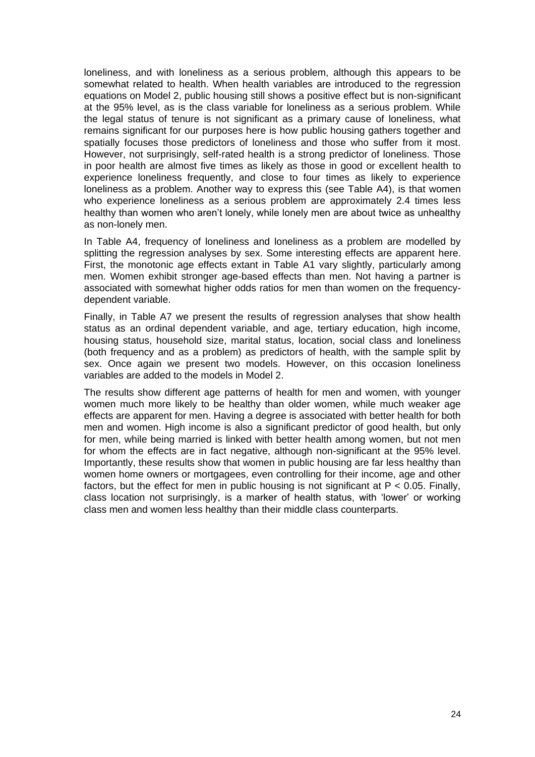loneliness, and with loneliness as a serious problem, although this appears to be somewhat related to health. When health variables are introduced to the regression equations on Model 2, public housing still shows a positive effect but is non-significant at the 95% level, as is the class variable for loneliness as a serious problem. While the legal status of tenure is not significant as a primary cause of loneliness, what remains significant for our purposes here is how public housing gathers together and spatially focuses those predictors of loneliness and those who suffer from it most. However, not surprisingly, self-rated health is a strong predictor of loneliness. Those in poor health are almost five times as likely as those in good or excellent health to experience loneliness frequently, and close to four times as likely to experience loneliness as a problem. Another way to express this (see Table A4), is that women who experience loneliness as a serious problem are approximately 2.4 times less healthy than women who aren't lonely, while lonely men are about twice as unhealthy as non-lonely men.

In Table A4, frequency of loneliness and loneliness as a problem are modelled by splitting the regression analyses by sex. Some interesting effects are apparent here. First, the monotonic age effects extant in Table A1 vary slightly, particularly among men. Women exhibit stronger age-based effects than men. Not having a partner is associated with somewhat higher odds ratios for men than women on the frequencydependent variable.

Finally, in Table A7 we present the results of regression analyses that show health status as an ordinal dependent variable, and age, tertiary education, high income, housing status, household size, marital status, location, social class and loneliness (both frequency and as a problem) as predictors of health, with the sample split by sex. Once again we present two models. However, on this occasion loneliness variables are added to the models in Model 2.

The results show different age patterns of health for men and women, with younger women much more likely to be healthy than older women, while much weaker age effects are apparent for men. Having a degree is associated with better health for both men and women. High income is also a significant predictor of good health, but only for men, while being married is linked with better health among women, but not men for whom the effects are in fact negative, although non-significant at the 95% level. Importantly, these results show that women in public housing are far less healthy than women home owners or mortgagees, even controlling for their income, age and other factors, but the effect for men in public housing is not significant at P < 0.05. Finally, class location not surprisingly, is a marker of health status, with 'lower' or working class men and women less healthy than their middle class counterparts.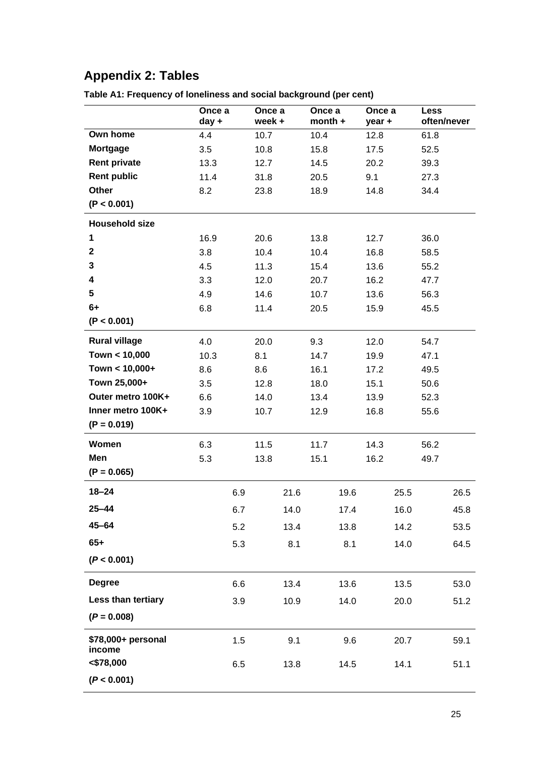# <span id="page-28-0"></span>**Appendix 2: Tables**

|                              | Once a<br>day + | Once a<br>week+ |      | Once a<br>$month +$ |      | Once a<br>year + |      | <b>Less</b><br>often/never |      |
|------------------------------|-----------------|-----------------|------|---------------------|------|------------------|------|----------------------------|------|
| Own home                     | 4.4             | 10.7            |      | 10.4                |      | 12.8             |      | 61.8                       |      |
| <b>Mortgage</b>              | 3.5             | 10.8            |      | 15.8                |      | 17.5             |      | 52.5                       |      |
| <b>Rent private</b>          | 13.3            | 12.7            |      | 14.5                |      | 20.2             |      | 39.3                       |      |
| <b>Rent public</b>           | 11.4            | 31.8            |      | 20.5                |      | 9.1              |      | 27.3                       |      |
| Other                        | 8.2             | 23.8            |      | 18.9                |      | 14.8             |      | 34.4                       |      |
| (P < 0.001)                  |                 |                 |      |                     |      |                  |      |                            |      |
| <b>Household size</b>        |                 |                 |      |                     |      |                  |      |                            |      |
| 1                            | 16.9            | 20.6            |      | 13.8                |      | 12.7             |      | 36.0                       |      |
| $\mathbf 2$                  | 3.8             | 10.4            |      | 10.4                |      | 16.8             |      | 58.5                       |      |
| 3                            | 4.5             | 11.3            |      | 15.4                |      | 13.6             |      | 55.2                       |      |
| 4                            | 3.3             | 12.0            |      | 20.7                |      | 16.2             |      | 47.7                       |      |
| 5                            | 4.9             | 14.6            |      | 10.7                |      | 13.6             |      | 56.3                       |      |
| $6+$                         | 6.8             | 11.4            |      | 20.5                |      | 15.9             |      | 45.5                       |      |
| (P < 0.001)                  |                 |                 |      |                     |      |                  |      |                            |      |
| <b>Rural village</b>         | 4.0             | 20.0            |      | 9.3                 |      | 12.0             |      | 54.7                       |      |
| Town < 10,000                | 10.3            | 8.1             |      | 14.7                |      | 19.9             |      | 47.1                       |      |
| Town < 10,000+               | 8.6             | 8.6             |      | 16.1                |      | 17.2             |      | 49.5                       |      |
| Town 25,000+                 | 3.5             | 12.8            |      | 18.0                |      | 15.1             |      | 50.6                       |      |
| Outer metro 100K+            | 6.6             | 14.0            |      | 13.4                |      | 13.9             |      | 52.3                       |      |
| Inner metro 100K+            | 3.9             | 10.7            |      | 12.9                |      | 16.8             |      | 55.6                       |      |
| $(P = 0.019)$                |                 |                 |      |                     |      |                  |      |                            |      |
| Women                        | 6.3             | 11.5            |      | 11.7                |      | 14.3             |      | 56.2                       |      |
| Men                          | 5.3             | 13.8            |      | 15.1                |      | 16.2             |      | 49.7                       |      |
| $(P = 0.065)$                |                 |                 |      |                     |      |                  |      |                            |      |
| $18 - 24$                    | 6.9             |                 | 21.6 |                     | 19.6 |                  | 25.5 |                            | 26.5 |
| $25 - 44$                    | 6.7             |                 | 14.0 |                     | 17.4 |                  | 16.0 |                            | 45.8 |
| $45 - 64$                    | 5.2             |                 | 13.4 |                     | 13.8 |                  | 14.2 |                            | 53.5 |
| $65+$                        | 5.3             |                 | 8.1  |                     | 8.1  |                  | 14.0 |                            | 64.5 |
| (P < 0.001)                  |                 |                 |      |                     |      |                  |      |                            |      |
| <b>Degree</b>                | 6.6             |                 | 13.4 |                     | 13.6 |                  | 13.5 |                            | 53.0 |
| Less than tertiary           | 3.9             |                 | 10.9 |                     | 14.0 |                  | 20.0 |                            | 51.2 |
| $(P = 0.008)$                |                 |                 |      |                     |      |                  |      |                            |      |
| \$78,000+ personal<br>income | 1.5             |                 | 9.1  |                     | 9.6  |                  | 20.7 |                            | 59.1 |
| < \$78,000                   | 6.5             |                 | 13.8 |                     | 14.5 |                  | 14.1 |                            | 51.1 |
| (P < 0.001)                  |                 |                 |      |                     |      |                  |      |                            |      |

<span id="page-28-1"></span>**Table A1: Frequency of loneliness and social background (per cent)**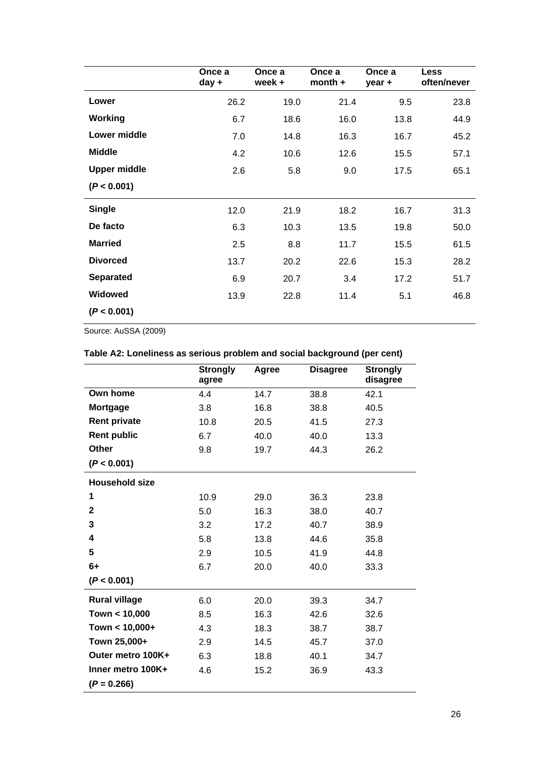|                     | Once a<br>day + | Once a<br>week + | Once a<br>$month +$ | Once a<br>$year +$ | <b>Less</b><br>often/never |
|---------------------|-----------------|------------------|---------------------|--------------------|----------------------------|
| Lower               | 26.2            | 19.0             | 21.4                | 9.5                | 23.8                       |
| Working             | 6.7             | 18.6             | 16.0                | 13.8               | 44.9                       |
| Lower middle        | 7.0             | 14.8             | 16.3                | 16.7               | 45.2                       |
| <b>Middle</b>       | 4.2             | 10.6             | 12.6                | 15.5               | 57.1                       |
| <b>Upper middle</b> | 2.6             | 5.8              | 9.0                 | 17.5               | 65.1                       |
| (P < 0.001)         |                 |                  |                     |                    |                            |
| <b>Single</b>       | 12.0            | 21.9             | 18.2                | 16.7               | 31.3                       |
| De facto            | 6.3             | 10.3             | 13.5                | 19.8               | 50.0                       |
| <b>Married</b>      | 2.5             | 8.8              | 11.7                | 15.5               | 61.5                       |
| <b>Divorced</b>     | 13.7            | 20.2             | 22.6                | 15.3               | 28.2                       |
| <b>Separated</b>    | 6.9             | 20.7             | 3.4                 | 17.2               | 51.7                       |
| <b>Widowed</b>      | 13.9            | 22.8             | 11.4                | 5.1                | 46.8                       |
| (P < 0.001)         |                 |                  |                     |                    |                            |

Source: AuSSA (2009)

### <span id="page-29-0"></span>**Table A2: Loneliness as serious problem and social background (per cent)**

|                       | <b>Strongly</b><br>agree | Agree | <b>Disagree</b> | <b>Strongly</b><br>disagree |
|-----------------------|--------------------------|-------|-----------------|-----------------------------|
| Own home              | 4.4                      | 14.7  | 38.8            | 42.1                        |
| <b>Mortgage</b>       | 3.8                      | 16.8  | 38.8            | 40.5                        |
| <b>Rent private</b>   | 10.8                     | 20.5  | 41.5            | 27.3                        |
| <b>Rent public</b>    | 6.7                      | 40.0  | 40.0            | 13.3                        |
| <b>Other</b>          | 9.8                      | 19.7  | 44.3            | 26.2                        |
| (P < 0.001)           |                          |       |                 |                             |
| <b>Household size</b> |                          |       |                 |                             |
| 1                     | 10.9                     | 29.0  | 36.3            | 23.8                        |
| $\mathbf{2}$          | 5.0                      | 16.3  | 38.0            | 40.7                        |
| 3                     | 3.2                      | 17.2  | 40.7            | 38.9                        |
| 4                     | 5.8                      | 13.8  | 44.6            | 35.8                        |
| 5                     | 2.9                      | 10.5  | 41.9            | 44.8                        |
| $6+$                  | 6.7                      | 20.0  | 40.0            | 33.3                        |
| (P < 0.001)           |                          |       |                 |                             |
| <b>Rural village</b>  | 6.0                      | 20.0  | 39.3            | 34.7                        |
| Town < 10,000         | 8.5                      | 16.3  | 42.6            | 32.6                        |
| Town $< 10,000+$      | 4.3                      | 18.3  | 38.7            | 38.7                        |
| Town 25,000+          | 2.9                      | 14.5  | 45.7            | 37.0                        |
| Outer metro 100K+     | 6.3                      | 18.8  | 40.1            | 34.7                        |
| Inner metro 100K+     | 4.6                      | 15.2  | 36.9            | 43.3                        |
| $(P = 0.266)$         |                          |       |                 |                             |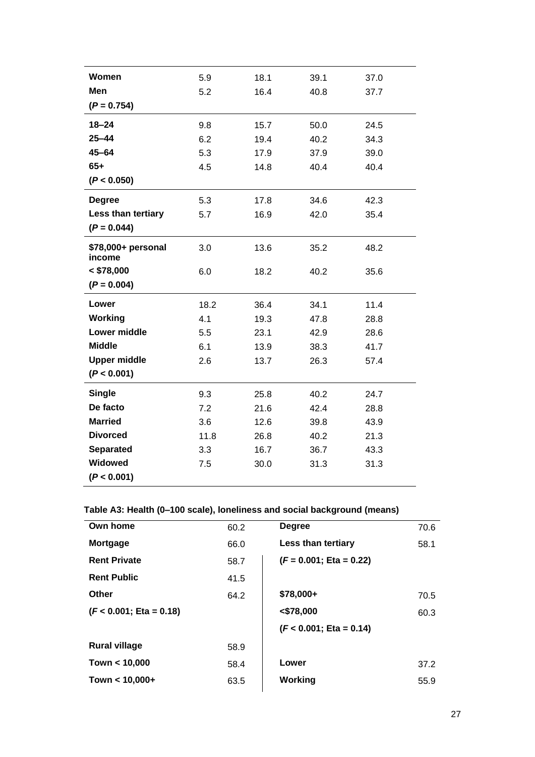| Women                        | 5.9  | 18.1 | 39.1 | 37.0 |
|------------------------------|------|------|------|------|
| Men                          | 5.2  | 16.4 | 40.8 | 37.7 |
| $(P = 0.754)$                |      |      |      |      |
| $18 - 24$                    | 9.8  | 15.7 | 50.0 | 24.5 |
| $25 - 44$                    | 6.2  | 19.4 | 40.2 | 34.3 |
| $45 - 64$                    | 5.3  | 17.9 | 37.9 | 39.0 |
| $65+$                        | 4.5  | 14.8 | 40.4 | 40.4 |
| (P < 0.050)                  |      |      |      |      |
| <b>Degree</b>                | 5.3  | 17.8 | 34.6 | 42.3 |
| Less than tertiary           | 5.7  | 16.9 | 42.0 | 35.4 |
| $(P = 0.044)$                |      |      |      |      |
| \$78,000+ personal<br>income | 3.0  | 13.6 | 35.2 | 48.2 |
| $<$ \$78,000                 | 6.0  | 18.2 | 40.2 | 35.6 |
| $(P = 0.004)$                |      |      |      |      |
| Lower                        | 18.2 | 36.4 | 34.1 | 11.4 |
| Working                      | 4.1  | 19.3 | 47.8 | 28.8 |
| <b>Lower middle</b>          | 5.5  | 23.1 | 42.9 | 28.6 |
| <b>Middle</b>                | 6.1  | 13.9 | 38.3 | 41.7 |
| <b>Upper middle</b>          | 2.6  | 13.7 | 26.3 | 57.4 |
| (P < 0.001)                  |      |      |      |      |
| <b>Single</b>                | 9.3  | 25.8 | 40.2 | 24.7 |
| De facto                     | 7.2  | 21.6 | 42.4 | 28.8 |
| <b>Married</b>               | 3.6  | 12.6 | 39.8 | 43.9 |
| <b>Divorced</b>              | 11.8 | 26.8 | 40.2 | 21.3 |
| <b>Separated</b>             | 3.3  | 16.7 | 36.7 | 43.3 |
| Widowed                      | 7.5  | 30.0 | 31.3 | 31.3 |
| (P < 0.001)                  |      |      |      |      |

### <span id="page-30-0"></span>**Table A3: Health (0–100 scale), loneliness and social background (means)**

| Own home                   | 60.2 | <b>Degree</b>             | 70.6 |
|----------------------------|------|---------------------------|------|
| Mortgage                   | 66.0 | Less than tertiary        | 58.1 |
| <b>Rent Private</b>        | 58.7 | $(F = 0.001; Eta = 0.22)$ |      |
| <b>Rent Public</b>         | 41.5 |                           |      |
| Other                      | 64.2 | \$78,000+                 | 70.5 |
| $(F < 0.001$ ; Eta = 0.18) |      | $<$ \$78,000              | 60.3 |
|                            |      | $(F < 0.001; Eta = 0.14)$ |      |
| <b>Rural village</b>       | 58.9 |                           |      |
| Town < 10,000              | 58.4 | Lower                     | 37.2 |
| Town $< 10,000+$           | 63.5 | Working                   | 55.9 |
|                            |      |                           |      |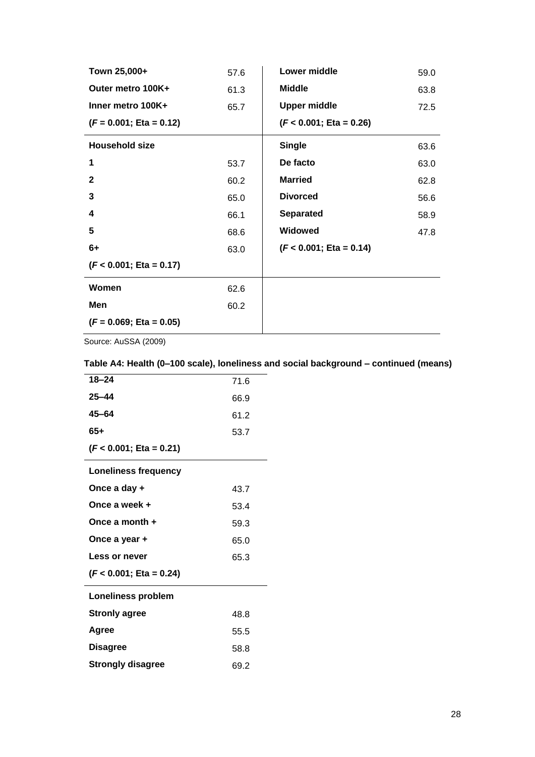| Town 25,000+              | 57.6 | Lower middle              | 59.0 |
|---------------------------|------|---------------------------|------|
| Outer metro 100K+         | 61.3 | <b>Middle</b>             | 63.8 |
| Inner metro 100K+         | 65.7 | <b>Upper middle</b>       | 72.5 |
| $(F = 0.001; Eta = 0.12)$ |      | $(F < 0.001; Eta = 0.26)$ |      |
| <b>Household size</b>     |      | <b>Single</b>             | 63.6 |
| 1                         | 53.7 | De facto                  | 63.0 |
| $\mathbf{2}$              | 60.2 | <b>Married</b>            | 62.8 |
| 3                         | 65.0 | <b>Divorced</b>           | 56.6 |
| 4                         | 66.1 | <b>Separated</b>          | 58.9 |
| 5                         | 68.6 | <b>Widowed</b>            | 47.8 |
| $6+$                      | 63.0 | $(F < 0.001; Eta = 0.14)$ |      |
| $(F < 0.001; Eta = 0.17)$ |      |                           |      |
| Women                     | 62.6 |                           |      |
| Men                       | 60.2 |                           |      |
| $(F = 0.069; Eta = 0.05)$ |      |                           |      |

Source: AuSSA (2009)

### <span id="page-31-0"></span>**Table A4: Health (0–100 scale), loneliness and social background – continued (means)**

| 71.6 |
|------|
| 66.9 |
| 61.2 |
| 53.7 |
|      |
|      |
| 43.7 |
| 53.4 |
| 59.3 |
| 65.0 |
| 65.3 |
|      |
|      |
| 48.8 |
| 55.5 |
| 58.8 |
| 69.2 |
|      |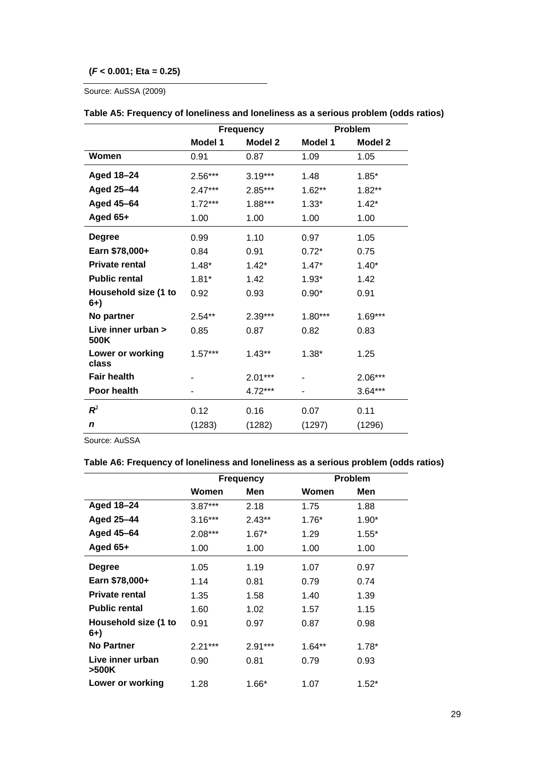#### **(***F* **< 0.001; Eta = 0.25)**

Source: AuSSA (2009)

|                              | <b>Frequency</b> |           | <b>Problem</b> |                |  |
|------------------------------|------------------|-----------|----------------|----------------|--|
|                              | Model 1          | Model 2   | Model 1        | <b>Model 2</b> |  |
| Women                        | 0.91             | 0.87      | 1.09           | 1.05           |  |
| Aged 18-24                   | $2.56***$        | $3.19***$ | 1.48           | $1.85*$        |  |
| Aged 25-44                   | $2.47***$        | 2.85***   | $1.62**$       | $1.82**$       |  |
| Aged 45-64                   | $1.72***$        | $1.88***$ | $1.33*$        | $1.42*$        |  |
| Aged 65+                     | 1.00             | 1.00      | 1.00           | 1.00           |  |
| <b>Degree</b>                | 0.99             | 1.10      | 0.97           | 1.05           |  |
| Earn \$78,000+               | 0.84             | 0.91      | $0.72*$        | 0.75           |  |
| <b>Private rental</b>        | $1.48*$          | $1.42*$   | $1.47*$        | $1.40*$        |  |
| <b>Public rental</b>         | $1.81*$          | 1.42      | $1.93*$        | 1.42           |  |
| Household size (1 to<br>$6+$ | 0.92             | 0.93      | $0.90*$        | 0.91           |  |
| No partner                   | $2.54**$         | $2.39***$ | $1.80***$      | $1.69***$      |  |
| Live inner urban ><br>500K   | 0.85             | 0.87      | 0.82           | 0.83           |  |
| Lower or working<br>class    | $1.57***$        | $1.43**$  | $1.38*$        | 1.25           |  |
| <b>Fair health</b>           |                  | $2.01***$ |                | $2.06***$      |  |
| Poor health                  |                  | 4.72***   |                | $3.64***$      |  |
| $R^2$                        | 0.12             | 0.16      | 0.07           | 0.11           |  |
| n                            | (1283)           | (1282)    | (1297)         | (1296)         |  |

#### <span id="page-32-0"></span>**Table A5: Frequency of loneliness and loneliness as a serious problem (odds ratios)**

Source: AuSSA

#### <span id="page-32-1"></span>**Table A6: Frequency of loneliness and loneliness as a serious problem (odds ratios)**

|                              | <b>Frequency</b> |          |          | Problem |
|------------------------------|------------------|----------|----------|---------|
|                              | Women            | Men      | Women    | Men     |
| Aged 18-24                   | $3.87***$        | 2.18     | 1.75     | 1.88    |
| Aged 25-44                   | $3.16***$        | $2.43**$ | $1.76*$  | $1.90*$ |
| Aged 45-64                   | $2.08***$        | $1.67*$  | 1.29     | $1.55*$ |
| Aged $65+$                   | 1.00             | 1.00     | 1.00     | 1.00    |
| <b>Degree</b>                | 1.05             | 1.19     | 1.07     | 0.97    |
| Earn \$78,000+               | 1.14             | 0.81     | 0.79     | 0.74    |
| <b>Private rental</b>        | 1.35             | 1.58     | 1.40     | 1.39    |
| <b>Public rental</b>         | 1.60             | 1.02     | 1.57     | 1.15    |
| Household size (1 to<br>$6+$ | 0.91             | 0.97     | 0.87     | 0.98    |
| <b>No Partner</b>            | $2.21***$        | 2.91***  | $1.64**$ | $1.78*$ |
| Live inner urban<br>>500K    | 0.90             | 0.81     | 0.79     | 0.93    |
| Lower or working             | 1.28             | $1.66*$  | 1.07     | $1.52*$ |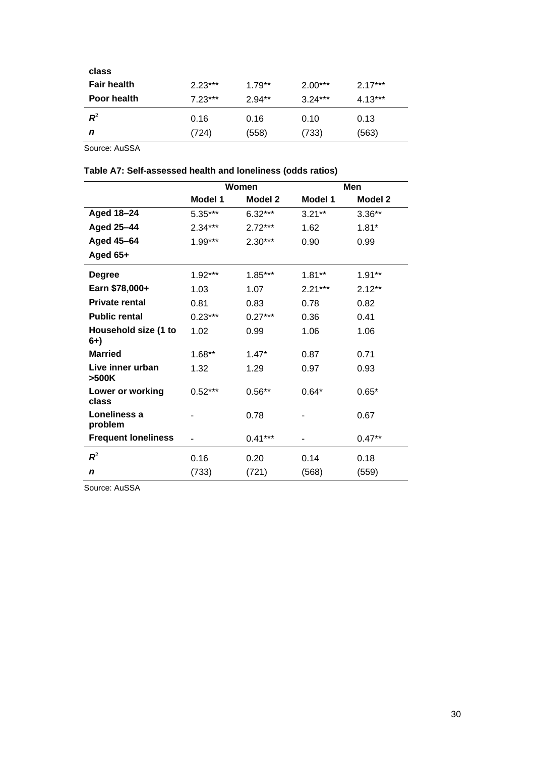| class              |           |          |           |           |
|--------------------|-----------|----------|-----------|-----------|
| <b>Fair health</b> | $2.23***$ | $1.79**$ | $2.00***$ | $2.17***$ |
| <b>Poor health</b> | $7.23***$ | $2.94**$ | $3.24***$ | $4.13***$ |
| $\boldsymbol{R}^2$ | 0.16      | 0.16     | 0.10      | 0.13      |
| n                  | (724)     | (558)    | (733)     | (563)     |
|                    |           |          |           |           |

Source: AuSSA

#### <span id="page-33-0"></span>**Table A7: Self-assessed health and loneliness (odds ratios)**

|                              | Women     |           | Men       |                |
|------------------------------|-----------|-----------|-----------|----------------|
|                              | Model 1   | Model 2   | Model 1   | <b>Model 2</b> |
| Aged 18-24                   | 5.35***   | $6.32***$ | $3.21***$ | $3.36**$       |
| <b>Aged 25-44</b>            | $2.34***$ | $2.72***$ | 1.62      | $1.81*$        |
| Aged 45-64                   | $1.99***$ | $2.30***$ | 0.90      | 0.99           |
| Aged 65+                     |           |           |           |                |
| <b>Degree</b>                | $1.92***$ | $1.85***$ | $1.81**$  | $1.91**$       |
| Earn \$78,000+               | 1.03      | 1.07      | $2.21***$ | $2.12**$       |
| <b>Private rental</b>        | 0.81      | 0.83      | 0.78      | 0.82           |
| <b>Public rental</b>         | $0.23***$ | $0.27***$ | 0.36      | 0.41           |
| Household size (1 to<br>$6+$ | 1.02      | 0.99      | 1.06      | 1.06           |
| <b>Married</b>               | $1.68**$  | $1.47*$   | 0.87      | 0.71           |
| Live inner urban<br>>500K    | 1.32      | 1.29      | 0.97      | 0.93           |
| Lower or working<br>class    | $0.52***$ | $0.56**$  | $0.64*$   | $0.65*$        |
| Loneliness a<br>problem      |           | 0.78      |           | 0.67           |
| <b>Frequent loneliness</b>   |           | $0.41***$ |           | $0.47**$       |
| $R^2$                        | 0.16      | 0.20      | 0.14      | 0.18           |
| n                            | (733)     | (721)     | (568)     | (559)          |

Source: AuSSA